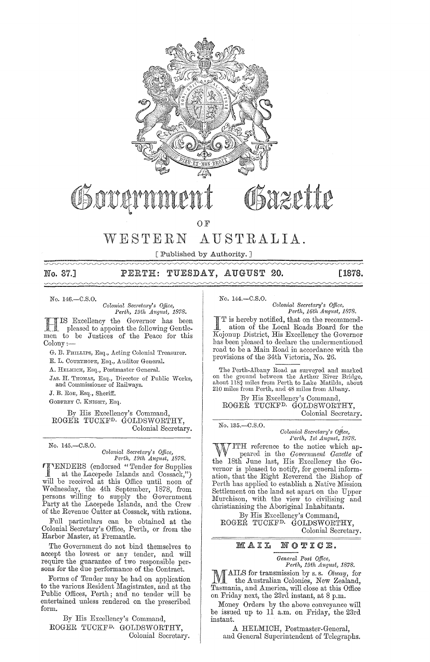

# Osazette Govan

OF

# WESTERN AUSTRALIA.

[Published by Authority. ] 

# No. 37.] PERTH: TUESDAY, AUGUST 20. [1878.

No. 146.-C.S.O.

*Colonial Secretary's Office,*<br>Perth, 19th August, 1878.

IS Excellency the Governor has been<br>pleased to appoint the following Gentlemen to be Justices of the Peace for this Colony:-

G. B. PHILLIPS, Esq., Acting Colonial Treasurer.

E. L. COURTIIOPE, Esq., Auditor General.

A. HELMICH, Esq., Postmaster General.

JAS. H. THOMAS, Esq., Director of Public Works, and Commissioner of Railways.

J. B. ROE, Esq., Sheriff.

GODFREY C. KNIGHT, Esq.

By His Excellency's Command, ROGER TUCKFD. GOLDSWORTHY, Colonial Secretary.

No. l45.-C.S.O.

#### $Colonial$  Secretary's Office, Perth, 19th August, 1878.

'I'1ENDERS (endorsed" Tender for Supplies at the Lacepede Islands and Cossack,") will be received at this Office until noon of Wednesday, the 4th September, 1878, from persons willing to supply the Government Party at the Lacepede Islands, and the Crew of the Revenue Cutter at Cossack, with rations.

Full particulars can be obtained at the Colonial Secretary's Office, Perth, or from the Harbor Master, at Fremantle.

The Government do not bind themselves to accept the lowest or any tender, and will require the guarantee of two responsible persons for the due performance of the Contract.

Forms of Tender may be had on application to the various Resident Magistrates, and at the Public Offices, Perth; and no tender will be entertained unless rendered on the prescribed form.

By His Excellency's Command, ROGER TUCKFD. GOLDSWORTHY, Colonial Secretary. No. 144.-C.S.O.

*Oolonial SeC1'eta1'1/ s Office, Perth, 16th A1Lgust, 1878.* 

I T is hereby notified, that on the recommend-<br>ation of the Local Roads Board for the Kojonup District, His Excellency the Governor has been pleased to declare the undermentioned road to be a Main Road in accordancc with the provisions of the 34th Victoria, No. 26.

The Perth-Albany Road as surveyed and marked on the ground between the Arthur River Bridge, about 118‡ miles from Perth to Lake Matilda, about<br>210 miles from Perth, and 48 miles from Albany.

By His Excellency's Command, ROGER TUCKFD. GOLDSWORTHY, Colonial Secretary.

No. 135.-C.S.O.

*Oolonial Sec;'eta1'Y's Office, Perth, 1st August, 1878.* 

ITH reference to the notice which ap-<br>peared in the *Government Gazette* of the 18th June last, His Excellency the Governor is pleased to notify, for general information, that the Right Reverend the Bishop of Perth has applied to establish a Native Mission Settlement on the land set apart on the Upper Murchison, with the view to civilising and christianising the Aboriginal Inhabitants.

By His Excellency's Command, ROGER TUCKFD. GOLDSWORTHY, Colonial Secretary.

# MAIL NOTICE.

*Geneml Post Office, Perth, 19th August, 1878.* 

MAILS for transmission by s. s. *Otway*, for<br>the Australian Colonies, New Zealand, Tasmania, and America, will close at this Office on Friday next, the 23rd instant, at 8 p.m.

Money Orders by the above conveyance will be issued up to II a.m. on Friday, the 23rd instant.

A HELMICH, Postmaster-General, and General Superintendent of Telegraphs.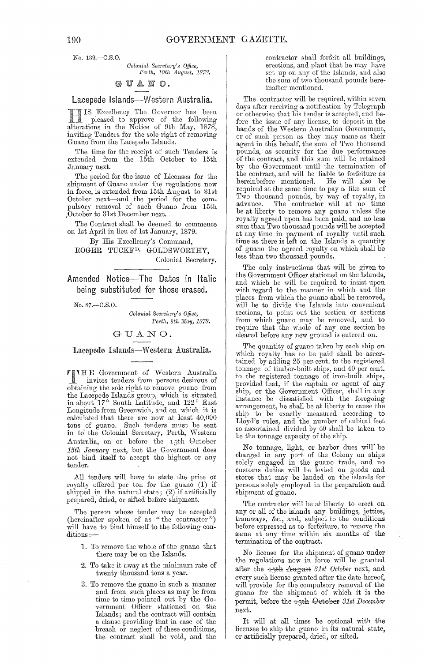No. 139.-C.S.O.

Colonial Secretary's Office, Perth, 10th August, 1878.

# GUANO.

Lacepede Islands-Western Australia.

IS Excellency The Governor has been pleased to approve of the following<br>alterations in the Notice of 9th May, 1878, inviting Tenders for the sole right of removing Guano from the Lacepede Islands.

The time for the receipt of such Tenders is extended from the 15th October to 15th January next.

The period for the issue of Licenses for the shipment of Guano under the regulations now in force, is extended from 15th August to 31st October next—and the period for the com-<br>pulsory removal of such Guano from 15th October to 31st December next.

The Contract shall be deemed to commence on 1st April in lieu of 1st January, 1879.

By His Excellency's Command, ROGER TUCKF<sup>D.</sup> GOLDSWORTHY, Colonial Secretary.

Amended Notice-The Dates in Italic being substituted for those erased.

No. 87.-C.S.O.

Colonial Secretary's Office, Perth, 9th May, 1878.

# GUANO.

Lacepede Islands-Western Australia.

TITHE Government of Western Australia invites tenders from persons desirous of obtaining the sole right to remove guano from the Lacepede Islands group, which is situated<br>in about  $17^{\circ}$  South Latitude, and  $122^{\circ}$  East Longitude from Greenwich, and on which it is calculated that there are now at least  $40,000$ tons of guano. Such tenders must be sent<br>in to the Colonial Secretary, Perth, Western Australia, on or before the 15th October 15th January next, but the Government does not bind itself to accept the highest or any tender.

All tenders will have to state the price or royalty offered per ton for the guano (1) if shipped in the natural state;  $(2)$  if artificially prepared, dried, or sifted before shipment.

The person whose tender may be accepted<br>(hereinafter spoken of as "the contractor") will have to bind himself to the following conditions:-

- 1. To remove the whole of the guano that there may be on the Islands.
- 2. To take it away at the minimum rate of twenty thousand tons a year.
- 3. To remove the guano in such a manner and from such places as may be from time to time pointed out by the Government Officer stationed on the Islands; and the contract will contain a clause providing that in case of the breach or neglect of these conditions, the contract shall be void, and the

contractor shall forfeit all buildings, erections, and plant that he may have set up on any of the Islands, and also the sum of two thousand pounds hereinafter mentioned.

The contractor will be required, within seven days after receiving a notification by Telegraph or otherwise that his tender is accepted, and before the issue of any license, to deposit in the hands of the Western Australian Government, or of such person as they may name as their<br>agent in this behalf, the sum of Two thousand pounds, as security for the due performance<br>of the contract, and this sum will be retained by the Government until the termination of the contract, and will be liable to forfeiture as hereinbefore mentioned. He will also be required at the same time to pay a like sum of Two thousand pounds, by way of royalty, in advance. The contractor will at no time be at liberty to remove any guano unless the royalty agreed upon has been paid, and no less sum than Two thousand pounds will be accepted at any time in payment of royalty until such time as there is left on the Islands a quantity of guano the agreed royalty on which shall be less than two thousand pounds.

The only instructions that will be given to the Government Officer stationed on the Islands, and which he will be required to insist upon with regard to the manner in which and the places from which the guano shall be removed, will be to divide the Islands into convenient sections, to point out the section or sections from which guano may be removed, and to<br>require that the whole of any one section be cleared before any new ground is entered on.

The quantity of guano taken by each ship on which royalty has to be paid shall be ascertained by adding 25 per cent. to the registered tonnage of timber-built ships, and 40 per cent. to the registered tonnage of iron-built ships, provided that, if the captain or agent of any<br>ship, or the Government Officer, shall in any<br>instance be dissatisfied with the foregoing arrangement, he shall be at liberty to cause the ship to be exactly measured according to Lloyd's rules, and the number of cubical feet so ascertained divided by 40 shall be taken to be the tonnage capacity of the ship.

No tonnage, light, or harbor dues will' be<br>charged in any port of the Colony on ships<br>solely engaged in the guano trade, and no<br>customs duties will be levied on goods and<br>stores that may be landed on the islands for<br>presen persons solely employed in the preparation and shipment of guano.

The contractor will be at liberty to erect on any or all of the islands any buildings, jetties, tramways, &c., and, subject to the conditions before expressed as to forfeiture, to remove the<br>same at any time within six months of the<br>termination of the contract.

No license for the shipment of guano under the regulations now in force will be granted after the 4-5th August 31st October next, and every such license granted after the date hereof, will provide for the compulsory removal of the<br>guano for the shipment of which it is the permit, before the 15th October 31st December next.

It will at all times be optional with the licensee to ship the guano in its natural state, or artificially prepared, dried, or sifted.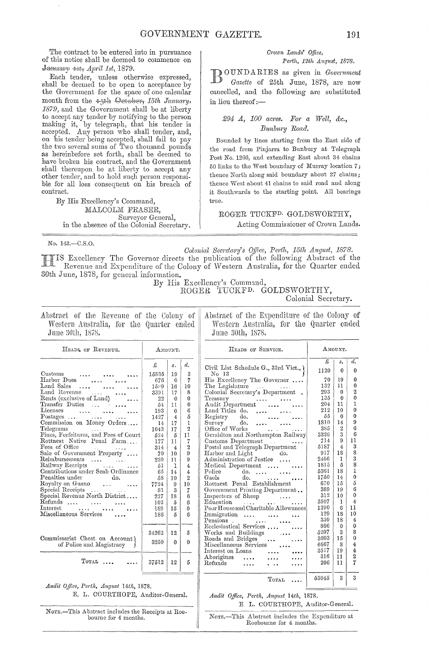The contract to be entered into in pursuance of this notice shall be deemed to commence on  $J$ anuary 4st, *April 1st*, 1879.

Each tender, unless otherwise expressed, shall be deemed to be open to acceptance by the Government for the space of one calendar month from the  $+$ <sup>th</sup> Qetober, 15th January, 1879, and the Government shall be at liberty to accept any tender by notifying to the person making it, by telegraph, that his tender is accepted. Any person who shall tender, and, on his tender being accepted, shall fail to pay the two several sums of Two thousand pounds as herein before set forth, shall be deemed to have broken his contract, and the Government shall thereupon be at liberty to accept any other tender, and to hold such person responsible for all loss consequent on his breach of contract.

By His Excellency's Command, MALCOLM FRASER, Surveyor General, in the absence of the Colonial Secretary.

#### *C1'own Lands' Office, Perth, 12th August, 1878.*

BOUNDARIES as given in *Government Gazette* of 25th June, 1878, are now cancelled, and the following are substituted in lieu thereof: $-$ 

### *294 A, 100 acres. Fm' a Well, &c.,*   $B$ unburu Road.

Bounded by lines starting from the East side of the road from Pinjarra to Bunbury at Telegraph Post No. 1266, and extending East about 34 chains 50 links to the West boundary of Murray location  $7$ ; thence North along said boundary about 27 chains; thence West about 41 chains to said road and along it Southwards to the starting point. All bearings true.

ROGER TUCKFD. GOLDSWORTHY, Acting Commissioner of Crown Lands.

No. 143.-C.S.O.

*Colonial Secretary's Office, Perth, 15th August, 1878.* 

HEADS OF SERVICE.

Civil List Schedule G., 33rd Vict.,  $\chi$ No 13<br>His Excellency The Governor .... His Excellency The Governor ....<br>The Legislature .... .... Colonial Secretary's Department .

Excellency The Governor directs the publication of the following Abstract of the Revenue and Expenditure of the Colony of Western Australia, for the Quarter ended 30th June, 1878, for general information.

By His Excellency's Command,

ROGER TUCKFD. GOLDSWORTHY,

Colonial Secretary.

AMOUNT.

 $\begin{array}{c|c} \text{s.} & d. \\ \text{o} & 0 \end{array}$  $19$  0 11' 0  $\begin{array}{c|c} 1 & 0 \ 0 & 2 \ 0 & 0 \end{array}$ 

Ahstract of the Revenue of the Colony of Western Australia, for the Quarter ended June 30th, 1878.

Abstract of the Expenditure of the Colony of Western Australia, for the Quarter ended June 30th, 1878.

| HEADS OF REVENUE.                                                                                                   |       | AMOUNT.        |                |
|---------------------------------------------------------------------------------------------------------------------|-------|----------------|----------------|
|                                                                                                                     | £     | s.             | d.             |
| $\rm Customs$                                                                                                       | 15835 | 19             | 3              |
| Harbor Dues                                                                                                         | 676   | 0              | 7              |
| $\mathbf{L}$ and Sales $\dots$ $\dots$                                                                              | 1599  | 16             | 10             |
|                                                                                                                     | 3391  | 17             | 8              |
| Land Revenue<br>Rents (exclusive of Land)                                                                           | 22    | 0              | 0              |
| Transfer Duties                                                                                                     | 54    | 11.            | 0              |
| $\rm\,Licenses$<br>فتبت المتحدث فتبدى                                                                               | 193   | $\mathbf{0}$   | 6              |
| Postages<br>Commission on Money Orders                                                                              | 1427  | $\overline{4}$ | 5              |
|                                                                                                                     | 14    | 17             | l              |
| Telegrams                                                                                                           | 1042  | 17             | $\overline{2}$ |
| Fines, Forfeitures, and Fees of Court                                                                               | 524   | 5              | 11             |
| Rottnest Native Penal Farm                                                                                          | 177   | 11             | 7              |
| Fees of Office                                                                                                      | 314   | $\overline{4}$ | $\overline{2}$ |
| Sale of Government Property                                                                                         | 70    | 10             | 9              |
| Reimbursements<br>$\mathcal{L}_{\mathbf{A}}$ and $\mathcal{L}_{\mathbf{A}}$ . The simple $\mathcal{L}_{\mathbf{A}}$ | 230   | 11             | 9              |
| Railway Receipts                                                                                                    | 51    | 1              | 4              |
| Contributions under Scab Ordinance                                                                                  | 65    | 14             | 4              |
| Penalties under<br>do.                                                                                              | 58    | 10             | $\overline{2}$ |
| $\text{Royalty on Guano}$                                                                                           | 7724  | 9              | 10             |
| Special Receipts<br>$\sim$ $\sim$ $\sim$                                                                            | 81    | 3              | 7              |
| Special Revenue North District                                                                                      | 227   | 18             | 6              |
| $R$ efunds                                                                                                          | 102   | 5              | 6              |
| Interest                                                                                                            | 189   | 15             | $\theta$       |
| Miscellaneous Services                                                                                              | 186   | 5              | 6              |
|                                                                                                                     |       |                |                |
|                                                                                                                     | 34262 | 12             | 5              |
| Commissariat Chest on Account)<br>of Police and Magistracy                                                          | 3250  | 0              | 0              |
| $_{\rm TorAL}$                                                                                                      | 37512 | 12             | 5              |
|                                                                                                                     |       |                |                |

 $\begin{matrix} 0 \\ 1 \end{matrix}$ Treasury<br>Audit Department<br>Land Titles do.<br>Registry do. 204  $\begin{array}{c|c} 11 & 1 \\ 10 & 0 \end{array}$ 212  $\frac{10}{0}$ المحداث  $\begin{matrix} 0 \\ 9 \end{matrix}$ 55 1810  $\begin{array}{c} 14 \\ 2 \\ 3 \end{array}$  $\sim$  and  $\sim$  $\sim$  . . . .  $\sim$ Survey do.<br>Office of Works  $\,$  6  $\,$ 385 Geraldton and Northampton Railway 3326  $\begin{array}{c|c} 3 & 6 \\ 9 & 11 \end{array}$ Customs Department 714  $\begin{array}{c|c} 9 & 11 \\ 4 & 3 \end{array}$ 5187  $\begin{array}{c} 3 \\ 8 \end{array}$ Postal and Telegraph Department<br>Harbor and Light do. 917  $\frac{18}{1}$ Administration of Justice .... 2406  $\begin{array}{c|c} 1 & 3 \\ 5 & 8 \end{array}$  $\begin{smallmatrix}8\\1\end{smallmatrix}$ Medical Department .... 1816  $\begin{array}{c|c} 18 & 1 \\ 14 & 0 \end{array}$ Police do.... 5361 1750  $\begin{array}{c|c} 14 & 0 \\ 15 & 5 \end{array}$ Rottnest Penal Establishment 670  $\begin{array}{c|c} 15 & 5 \\ 19 & 6 \end{array}$ Government Printing Department.. 389  $\begin{array}{c|c} 19 & 6 \\ 10 & 0 \end{array}$ 312  $\begin{smallmatrix}1&0\\1&1\end{smallmatrix}$ Inspectors of Sheep  $\sim 1.4\, \rm{km}$ Education 3507  $\begin{array}{c|c} 1 & 4 \\ 6 & 11 \end{array}$ Poor House and Charitable Allowances 13QO  $\begin{array}{c|c} 6 & 11 \\ 18 & 10 \end{array}$ **Imnl1gratloll .. . . ... . . ..**  Pensions . **....• ••.** Ecclesiastical Scnices .... . ... 'Works and Buildings 129 359  $\frac{10}{4}$  $\begin{smallmatrix} 18 \ 0 \end{smallmatrix}$  $\mathsf{I}$  $\begin{array}{c|c} 0 & 0 \\ 3 & 8 \end{array}$ 866 Works and Buildings<br>Roads and Bridges 5207  $\begin{matrix} 8 \\ 0 \end{matrix}$ 3603  $\begin{array}{c} 15 \\ 8 \end{array}$  $\sim$  . . . :Miscellaneous Services 6667  $\frac{4}{4}$ 3517  $\begin{array}{c|c} 19 & 4 \\ 11 & 2 \end{array}$ Interest on Loans  $\cdots$  $\cdots$ 316  $\begin{array}{c|c} 11 & 2 \\ 11 & 7 \end{array}$ .Aborigines  $\ldots$  $\cdots$  $\ldots$  .  $Refunds$ 206 II 7 . . . .  $\ddotsc$  $\cdots$ 53045  $3 \mid 3$ TOTAL

*Audit Office, Perth, August 14th, 1878.* E. L. COURTHOPE, Auditor-General.

*Audit Office, Perth, August. 14th, 1878.*  E. L. COURTHOPE, Auditor-General.

NOTE.-This Abstract includes the Receipts at Roebourne for 4 months.

NOTE.-This Abstract includes the Expenditure at

Roebourne for 4 months.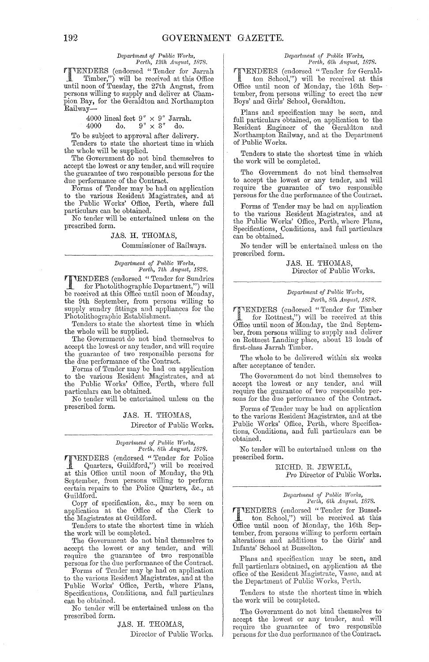# *Depa?iment of PUblic Wm'ks, Perth, 12th August, 1878.*

**TENDERS** (endorsed "Tender for Jarrah Timber,") will be received at this Office until noon of Tuesday, the 27th August, from persons willing to supply and deliver at Champion Bay, for the Geraldton and Northampton Railway-

4000 lineal feet  $9'' \times 9''$  Jarrah.

 $4000 \, \, \text{do.} \, \, 9'' \times 3'' \, \, \text{do.}$ 

To be subject to approval after delivery. Tenders to state the shortest time in which the whole will be supplied.

The Government do not bind themselves to accept the lowest or any tender, and will require the guarantee of two responsible persons for the due performance of the Contract.

Forms of Tender may be had on application to the various Resident Magistrates, and at the Public Works' Office, Perth, where full particulars can be obtained.

No tender will be entertained unless on the prescribed form.

### JAS. H. THOMAS,

Commissioner of Railways.

 $Department of Public Works,$ *Perth, 7th August, 1878.* 

TENDERS (endorsed "Tender for Sundries for Photolithographic Department,") will be received at this Office until noon of Monday, the 9th September, from persons willing to supply sundry fittings and appliances for the Photolithographic Establishment. .

Tenders to state the shortest time in which the whole will be supplied.

The Government  $\tilde{\text{do}}$  not bind themselves to accept the lowest or any tender, and will require the guarantee of two responsible persons for the due performance of the Contract.

Forms of Tender may be had on application to tbe various Resident Magistrates, and at the Public Works' Office, Perth, where full particulars can be obtained.

No tender will be entertained unless on the prescribed form.

> JAS. H. THOMAS, Director of Public Works.

### *Depadment of Pttblic TVm'ks,*  Perth, 8th August, 1878.

**TENDERS** (endorsed "Tender for Police<br>Quarters, Guildford,") will be received<br>of this Office until peep of Mender, the Oth at this Office until noon of Monday, the 9th September, from persons willing to perform certain repairs to the Police Quarters, &c., at Guildford.

Copy of specification, &c., may be seen on application at the Office of the Clerk to the Magistrates at Guildford.

Tenders to state the shortest time in which the work will be eompleted.

The Government do not bind themselves to accept the lowest or any tender, and will require tbe guarantee of two responsible persons for the due performance of the Contract.

Forms of Tender may be had on application to the various Resident Magistrates, and at the Public Works' Office, Perth, where Plans, Specifications, Conditions, and full particulars ean be obtained.

No tender will be entertained unless on the prescribed form.

JAS. H. THOMAS,

Director of Public Works.

# *Department of Public Works,*<br>Perth, 6th August, 1878.

**1. ENDERS** (endorsed "Tender for Gerald-<br>ton School,") will be received at this<br>Office until near of Monday the 16th Sep Office until noon of Monday, tbe 16th September, from persons willing to erect the new Boys' and Girls' School, Geraldton.

Plans and specification may be seen, and full particulars obtained, on application to the Resident Engineer of the Geraldton and Northampton Railway, and at the Department of Public Works.

Tenders to state the shortest time in which the work will be completed.

The Government do not bind themselves to accept the lowest or any tender, and will require the guarantee of two responsible persons for the due performance of the Contract.

Forms of Tender may be had on application to the various Resident Magistrates, and at tbe Public Works' Office, Perth, where Plans, Specifications, Conditions, and full particulars can be obtained.

No tender will be entertained unless on the prescribed form.

> JAS. H. THOMAS, Director of Public Works.

#### *D()pm·trnent of PrLblic* Works, *Perth, 8th August, 1878.*

'lliENDERS (endorsed" Tender for Timber for Rottnest,") will be received at this Office until noon of Monday, the 2nd September, from persons willing to supply and deliver on Rottnest Landing place, about 13 loads of first-class Jarrah Timber.

The whole to be delivered within six weeks after acceptance of tender.

The Government do not bind themselves to accept the lowest or any tender, and will require the guarantee of two responsible persons for the due performance of the Contract.

Forms of Tender may be had on application to the various Resident Magistrates, and at the Public Works' Office, Perth, where Specifications, Conditions, and full particulars can be obtained.

No tender will be entertained unless on the prescribed form.

> RICHD. R. JEWELL, Pro Director of Public Works.

*Department of Public WOI'ks,*  Perth, 6th August, 1878.

rI'IENDERS (endorsed" Tender for Busselton School,") will be received at this Office until noon of Monday, tbe 16th September, from persons willing to perform certain alterations and additions to the Girls' and Infants' School at Busselton.

Plans and specification may he seen, and full particulars obtained, on application at the office of the Resident Magistrate, Vasse, and at the Department of Public Works, Perth.

Tenders to state the shortest time in which the work will be completed.

The Government do not bind themselves to accept tbe lowest or any tender, and will require the guarantee of two responsible persons for the due performance of the Contract.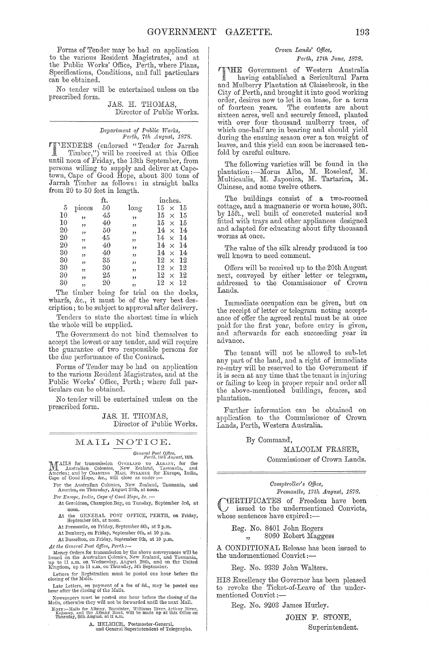Forms of Tender may be had on application to the various Resident Magistrates, and at the Public Works' Office, Perth, where Plans, Specifications, Conditions, and full particulars can be obtained.

No tender will be entertained unless on the prescribed form.

JAS. H. THOMAS, Director of Public Works.

*Depa?·tment of P1Lb1.ic TY01'!;S, Perth, 7th Augnst, 1878.* 

**TIMENDERS** (endorsed "Tender for Jarrah ~ Timber,") will be received at this Office until noon of Friday, the 13th September, from persons willing to supply and deliver at Capetown, Cape of Good Hope, about 300 tons of Jarrah Timber as follows: in straight balks from 20 to 50 feet in length.

|    |                         | ft. |      | inches.                   |
|----|-------------------------|-----|------|---------------------------|
| 5  | pieces                  | 50  | long | 15<br>15<br>$\times$      |
| 10 | ,,                      | 45  | ,,   | 15<br>15<br>$\times$      |
| 10 | ,,                      | 40  | "    | 15<br>15<br>$\times$      |
| 20 | ,,                      | 50  | ,,   | 14<br>14<br>$\times$      |
| 20 | $\overline{\mathbf{z}}$ | 45  | ,,   | 14<br>14<br>×             |
| 20 | ,,                      | 40  | ,,   | 14<br>14<br>$\times$      |
| 30 | ,                       | 40  | "    | 14<br>14<br>$\times$      |
| 30 | ,,                      | 35  | ,,   | $^{12}$<br>12<br>$\times$ |
| 30 | ,,                      | 30  | ,,   | 12<br>12<br>$\times$      |
| 30 | ,,                      | 25  | ,,   | 12<br>12<br>$\times$      |
| 30 | ,,                      | 20  | ,,   | 12<br>12<br>$\times$      |

The timber being for trial on the docks, wharfs, &c., it must be of the very hest description; to he subject to approval after delivery.

Tenders to state the shortest time in which the whole will be supplied.

The Government do not bind themselves to accept the lowest or any tender, and will require the guarantee of two responsible persons for the due performance of the Contract.

Forms of Tendcr may be had on application to the various Resident Magistrates, and at the Public Works' Office, Perth; where full particulars can be obtained.

No tender will be entertained unless on the prescribed form.

> JAS. H. THOMAS, Director of Public Works.

# MAIL NOTICE.

*General Post Q!flce,* Perth, HUt AU[Just, IS7S.

MAILS for transmission OVERLAND TO ALBANY, for the Australian Colonies, New Zealand, Tasmania, and America; and by Coastries MAIL STEAME: for Europe, India, Cape of Good Hope, &c., will close as under:—

For the Australian Colonies, New Zealand, Tasmania, and America, on Thursday, August 29th, at noon.

 $For Europe, India, Cape of Good Hope, &$ :-

At Geraldton, Champion Bay, on Tuesday, September 3rd, at

noon, At the GENERAL POST OFFICE, PERTH, on Friday, September 6th, at noon.

At Fremantle, on l"riday, September Gth, at 2 p.m. At Bunbury, on Friday, September Gth, at 10 p.m.

At Busselton, on Friday, September Gth, at 10 p.m.

*At the General Post Office, Perth:-*

At the General Fost Office, Ferth :—<br>Money Orders for transmission by the above conveyances will be<br>issued on the Australian Colonics, New Zealand, and Tasmania,<br>up to 11 a.m., on Wednesday, August 28th, and on the United<br>

Letters for Registration must be posted one hour before the closing of the Mails.

Late Letters, on payment of a fee of 6d., may be posted one hour after the closing of the Mails.

N ewspapers must be posted one hour before the closing of the Mails, otherwise they will not be forwarded until the next Mail.

NOTE:--Mails for Albany, Bannister, Williams River, Arthur River, Kojonnp, and the Albany Road, will be made up at this Office on Thursday, 20th August, at 11 a.m.

A. HELMICH, Postmaster-General, and General Superintendent of Telegraphs.

#### *Crotvn Lands' o.ffice,*

# *Perth, 17th June, 1878.*

THE Government of Western Australia having established a Sericultural Farm and Mulberry Plantation at Claisebrook, in the City of Perth, and brought it into good working order, desires now to let it on lease, for a term of fourteen years. The contents are about sixteen acres, well and securely fenced, planted with over four thousand mulberry trees, of which one-half are in bearing and should yield during the ensuing season over a ton weight of leaves, and this yield can soon be increased tenfold by careful culture.

The following varieties will be found in the plantation :- Morus Alba, M. Roseleaf, M. Multicaulis, M. Japonica, M. Tartarica, M. Chinese, and some twelve others.

The buildings consist of a two-roomed cottage, and a magnanerie or worm house, 30ft. by 15ft., well built of concreted material and fitted with trays and other appliances designed and adapted for educating about fifty thousand worms at once.

The value of the silk already produced is too well known to need comment.

Offers will be received up to the 20th August next, conveyed by either letter or telegram, addressed to the Oommissioner of Crown Lands.

Immediate occupation can be given, but on the receipt of letter or telegram noting acceptance of offer the agreed rental must be at once paid for the first year, before entry is given, and afterwards for each succeeding year in advance.

The tenant will not he allowed to sub-let any part of the land, and a right of immediate re-entry will be reserved to the Government if it is seen at any time that the tenant is injuring or failing to keep in proper repair and order all the above-mentioned buildings, fences, and plantation.

Further information can be obtained on application to the Commissioner of Crown Lands, Perth, Western Australia.

By Command,

# MALCOLM FRASER,

Commissioner of Crown Lands.

### *C01nl)i?'ollel" s Office,*

*FJ'emantle, 17th August, 1878.*  CERTIFICATES of Freedom have been issued to the undermentioned Convicts, whose sentences have expired:-

Reg. No. 8401 John Rogers ", 8060 Robert Maggess

A CONDITIONAL Release has been issued to the undermentioned Convict :-

Reg. No. 9339 John WaIters.

HIS Excellency the Governor has beon pleased to revoke the Ticket-of-Leave of the under-<br>mentioned Convict :-

Reg. No. 9203 James Hurley.

JOHN F. STONE, Superintendent.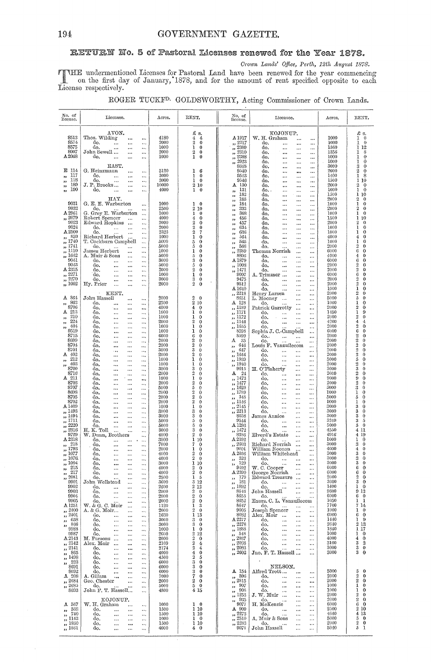# RETURN No. 5 of Pastoral Licenses renewed for the Year 1878.

Crown Lands' Office, Perth, 12th August 1878.

THE undermentioned Licenses for Pastoral Land have been renewed for the year commencing<br>on the first day of January, 1878, and for the amount of rent specified opposite to each<br>License respectively.

|  | ROGER TUCKF <sup>D.</sup> GOLDSWORTHY, Acting Commissioner of Crown Lands. |  |  |  |
|--|----------------------------------------------------------------------------|--|--|--|
|  |                                                                            |  |  |  |

| AVON.<br>£ s.<br>KOJONUP.<br>$\frac{1}{4}$<br>8513<br>Thos. Wilding<br>4180<br>W. H. Graham<br>1000<br>A 1917<br>4<br>$\ddotsc$<br>$\cdots$<br>$\ddotsc$<br><br>$\boldsymbol{2}$<br>8574<br>2000<br>$, \frac{2217}{ }$<br>$\mathbf 0$<br>1000<br>do.<br>1<br>do.<br>$\ddotsc$<br>$\cdots$<br>$\cdots$<br>$\ddotsc$<br><br>$\cdots$<br>ı<br>8575<br>$\frac{2509}{2500}$<br>do.<br>1000<br>$\bf{0}$<br>1560<br>1<br>do.<br>$\ddotsc$<br>$\ddotsc$<br>$\ddotsc$<br>$\cdots$<br>$\cdots$<br><br>$\frac{7}{12}$ $\frac{2310}{2310}$<br>8007<br>$\,2\,$<br>John Sewell<br>2000<br>$\bf{0}$<br>1356<br>1<br>do.<br>$\ddotsc$<br>$\cdots$<br>$\ddotsc$<br>$\ddotsc$<br><br>$\frac{7}{12}$ $\frac{2388}{12}$<br>A2068<br>$\mathbf{1}$<br>1000<br>do.<br>1000<br>$\bf{0}$<br>1<br>do.<br>$\ddotsc$<br>$\cdots$<br>$\cdots$<br>$\cdots$<br><br><br>2923<br>1000<br>1<br>do.<br>$\cdots$<br>33<br>$\cdots$<br>$\ddotsc$<br>EAST.<br>8648<br>3000<br>3<br>do.<br>$\cdots$<br>$\ddotsc$<br><br>E 114<br>$\overline{2}$<br>G. Heinzmann<br>5120<br>1<br>-6<br>9540<br>2000<br>do.<br>$\cdots$<br>$\cdots$<br>$\cdots$<br><br>$\ddotsc$<br>117<br>$\mathbf{1}$<br>9543<br>3000<br>1400<br>1<br>do.<br>0<br>do.<br>$\ddotsc$<br>33<br>$\cdots$<br>$\cdots$<br>$\cdots$<br>$\ddotsc$<br><br>118<br>3000<br>do.<br>1<br>$\mathbf{0}$<br>9546<br>1500<br>1<br>do.<br>$\cdots$<br>$\cdots$<br>,,<br><br>$\ddotsc$<br>$\ddotsc$<br>$\ddotsc$<br>189<br>J. P. Brooks<br>10000<br>130<br>$\overline{2}$<br>2 10<br>2000<br>A<br>do.<br>,,<br>$\cdots$<br>$\cdots$<br>$\cdots$<br><br>$\ddotsc$<br>190<br>1000<br>do.<br>4000<br>ı<br>131<br>ı<br>$\bf{0}$<br>do. .<br>$\cdots$<br>$^{\rm 33}$<br>$\ldots$<br>$\ddotsc$<br>$\cdots$<br>,,<br><br><br>ī<br>182<br>1500<br>do.<br>$\cdots$<br>$\ddotsc$<br>$^{\prime}$<br><br>$\overline{2}$<br>HAY.<br>183<br>2000<br>do.<br>$\cdots$<br>$\overline{\phantom{a}}$<br>$\cdots$<br><br>9031<br>G. E. E. Warburton<br>1000<br>184<br>1000<br>ı<br>$\mathbf{1}$<br>$\overline{0}$<br>do.<br>$\ddotsc$<br>$\cdots$<br>,,<br>$\ddotsc$<br><br>9032<br>$\overline{2}$<br>$\,2$<br>2500<br>333<br>2000<br>do.<br>10<br>do.<br>$\cdots$<br>$\cdots$<br>$\cdots$<br><br>$\overline{\phantom{a}}$<br>$\cdots$<br>A2961<br>G. Grey E. Warburton<br>1000<br>368<br>1<br>ı<br>1000<br>0<br>do.<br>$\ddot{\phantom{a}}$<br>$\ddotsc$<br>33<br>$\cdots$<br><br>Robert Spencer<br>" 2079<br>4000<br>4<br>$\mathbf 0$<br>456<br>1500<br>ı<br>do,<br>$\cdots$<br>$\ldots$<br>$\ddotsc$<br>$\overline{\phantom{a}}$<br><br>$\ddotsc$<br>9023<br>$\overline{2}$<br>$\overline{2}$<br>2000<br>Edward Hopkins<br>$\mathbf 0$<br>457<br>2000<br>do.<br>$\ldots$<br>$\cdots$<br><br>$\overline{\phantom{a}}$<br>$\cdots$<br>9024<br>$\boldsymbol{2}$<br>2000<br>1000<br>I<br>0<br>do.<br>634<br>العطاب<br>do,<br>$\cdots$<br>$\ddotsc$<br>$\cdots$<br><br>$\overline{\phantom{a}}$<br>$\ddotsc$<br>A 2500<br>2325<br>$\overline{2}$<br>1<br>do.<br>7<br>636<br>1000<br>$\sim 100$<br>$\cdots$<br>do.<br>$\cdots$<br><br>,,<br>$\ddotsc$<br>$\ddotsc$<br>, 859<br>1<br>Richard Herbert<br>1000<br>$\bf{0}$<br>564<br>4000<br>4<br>do.<br>$\cdots$<br>$\ddotsc$<br>,,<br><br>$\ddotsc$<br>,, 1740<br>1<br>5000<br>5<br>$\mathbf 0$<br>1000<br>T. Cockburn Campbell<br>565<br>do.<br>$\ddotsc$<br>$\ddotsc$<br>99<br>$\cdots$<br>$\ddotsc$<br>,, 1741<br>$\overline{2}$<br>$\bf{0}$<br>5000<br>5<br>2000<br>do.<br>566<br>do.<br>$\cdots$<br><br>$\cdots$<br>,,<br>$\cdots$<br><br>,, 1110<br>2389<br>1000<br>6<br>James Herbert<br>1<br>0<br>Thomas Norrish<br>6000<br><br>$\cdots$<br>,,<br>$\ddotsc$<br><br>,, 1642<br>8806<br>5000<br>5<br>0<br>4000<br>4<br>A. Muir & Sons<br>do,<br>$\cdots$<br>$\cdots$<br><br><br>9041<br>3<br>A 1879<br>6<br>3000<br>$\mathbf 0$<br>6000<br>do.<br>do.<br>$\cdots$<br>$\ddotsc$<br>$\ddotsc$<br>$\cdots$<br><br>9043<br>2<br>5<br>2000<br>5000<br>$\bf{0}$<br>,, 1008<br>do.<br>do.<br>$\ddotsc$<br>$\cdots$<br>$\ddotsc$<br>$\ddotsc$<br><br>$\ddotsc$<br>$\overline{2}$<br>A 2315<br>$\boldsymbol{2}$<br>2000<br>,, 1471<br>$\bf{0}$<br>2000<br>do.<br>$\ddotsc$<br>do.<br>$\cdots$<br>$\cdots$<br><br>$\ddotsc$<br>$\ddotsc$<br>ï<br>$, \frac{2271}{2271}$<br>6<br>9007<br>1000<br>$\bf{0}$<br>6000<br>do.<br>A, Trimmer<br>$\cdots$<br>$\cdots$<br>$\cdots$<br><br>$\frac{7}{2270}$<br>3<br>2<br>9475<br>3000<br>$\bf{0}$<br>2000<br>do.<br>do.<br>$\ldots$<br>$\ddotsc$<br>$\ddotsc$<br>$\ddotsc$<br><br>$\cdot$<br>$\overline{2}$<br>$\overline{2}$<br>,, 1002<br>9512<br>2000<br>Hy. Prior<br>2000<br>$\bf{0}$<br>do.<br>$\sim$<br>$\ddotsc$<br>$\ddotsc$<br>$\ldots$<br>$\cdots$<br>$\cdots$<br>ı<br>1000<br>A1640<br>do.<br>$\ddotsc$<br>$\ddotsc$<br>$\cdots$<br>$\boldsymbol{2}$<br>KENT.<br>,, 2218<br>2000<br>Henry Larsen<br>$\ddotsc$<br>A 864<br>$\boldsymbol{2}$<br>John Hassell<br>2000<br>$\bf{0}$<br>5<br>8651<br>5000<br>L. Mooney<br>$\ddotsc$<br>$\ddotsc$<br>$\cdots$<br>$\cdots$<br>$\cdots$<br>$\,2\,$<br>-863<br>2500<br>$A$ 128<br>1000<br>ı<br>do.<br>10<br>do.<br>,,<br>$\ddotsc$<br>$\ddotsc$<br>$\cdots$<br>$\ddotsc$<br>$\ddotsc$<br>8706<br>$\boldsymbol{2}$<br>4000<br>4<br>,, 1189<br>2000<br>do.<br>$\mathbf 0$<br>Patrick Garrotty<br>$\ddotsc$<br><br><br><br>$\ddotsc$<br>A 213<br>1<br>1000<br>,, 1171<br>1450<br>do.<br>т<br>$\bf{0}$<br>do.<br>$\ldots$<br>$\ddotsc$<br>$\cdots$<br><br><br>$\cdots$<br>$\frac{7}{1172}$<br>210<br>$\boldsymbol{2}$<br>1000<br>1<br>$\mathbf 0$<br>2000<br>do,<br>do.<br>$\ddotsc$<br>33<br>$\cdots$<br>$\ldots$<br>$\ddotsc$<br><br><br>224<br>$\overline{2}$<br>4<br>2000<br>$\bf{0}$<br>,, 1144<br>4200<br>do,<br>do.<br>$\ldots$<br>99<br>$\sim$ and<br>$\cdots$<br><br><br>$\boldsymbol{2}$<br>404<br>1000<br>ı<br>2000<br>do.<br>$\theta$<br>,, 1655<br>do.<br>$\ldots$<br>93<br>$\cdots$<br><br><br>9519<br>Sophia J. C.-Campbell<br>$\bf 6$<br>1000<br>1<br>8598<br>6000<br>do,<br>0<br>$\cdots$<br>$\ddotsc$<br>$\cdots$<br><br>8715<br>2<br>6000<br>6<br>8599<br>2000<br>do,<br>$\boldsymbol{0}$<br>do<br>$\cdots$<br>$\cdots$<br>$\cdots$<br><br><br>$\overline{\mathbf{2}}$<br>- 35<br>2000<br>8699<br>2000<br>2<br>$\theta$<br>А<br>do.<br>do.<br>$\cdots$<br>$\ddotsc$<br><br>$\ddotsc$<br>$\overline{2}$<br>$\overline{2}$<br>2000<br>8704<br>2000<br>Louis F. Vanzuilecom<br>$\mathbf 0$<br>,, 646<br>do.<br><br><br><br>$\mathbf 2$<br>3<br>2000<br>8701<br>3000<br>647<br>0<br>do.<br>do.<br>$\ddotsc$<br>$\ldots$<br><br><br>$\bullet \bullet$<br>$\ddotsc$<br>$\overline{2}$<br>2000<br>A 402<br>$\boldsymbol{2}$<br>, 1644<br>2000<br>0<br>do.<br>do.<br>$\ldots$<br>$\ddotsc$<br>$\cdots$<br><br>$\ddotsc$<br><br>$\mathfrak{S}$<br>$\mathbf{1}$<br>212<br>,, 1939<br>1000<br>0<br>5000<br>do.<br>do.<br>٠,<br>$\ldots$<br>$\cdots$<br><br><br>$\ddotsc$<br>403<br>$\boldsymbol{2}$<br>1<br>,, 1940<br>1000<br>0<br>2000<br>do.<br>do.<br>33<br>$\ldots$<br>$\ddotsc$<br>$\cdots$<br>$\cdots$<br>$\ddotsc$<br>8700<br>$\boldsymbol{3}$<br>3<br>9015<br>3000<br>3000<br>0<br>H. O'Flaherty<br>do.<br>$\cdots$<br>$\ddotsc$<br><br>$\ddotsc$<br><br>2<br>8716<br>2000<br>2<br>$A \quad 24$<br>$\mathbf 0$<br>2000<br>do.<br>do.<br>$\ldots$<br>$\ddotsc$<br>$\cdots$<br><br>$\ddotsc$<br>$\ddotsc$<br>, 1473<br>A 211<br>1<br>9000<br>1000<br>$\theta$<br>9<br>do.<br>do.<br>$\ddotsc$<br>$\cdots$<br>$\ddotsc$<br><br>$\ddotsc$<br>$\boldsymbol{2}$<br>8703<br>2000<br>,, 1477<br>2000<br>2<br>$\theta$<br>do.<br>do,<br>$\cdots$<br>$\ddotsc$<br>$\cdots$<br><br>$\ddotsc$<br>$\ddotsc$<br>8707<br>5<br>,, 1620<br>3000<br>3<br>5000<br>$\theta$<br>do.<br>do.<br>$\ddotsc$<br>$\cdots$<br>$\cdots$<br><br>$\cdots$<br>8698<br>2<br>,, 1789<br>1000<br>2000<br>$\mathbf 0$<br>1<br>do.<br>do.<br>$\cdots$<br>$\ddotsc$<br><br><br>$\ddotsc$<br><br>$\overline{2}$<br>8705<br>2000<br>$\theta$<br>- 348<br>5000<br>do.<br>do,<br>5<br>$\cdots$<br>$\ddotsc$<br><br>,,<br>$\ddotsc$<br><br><br>$\boldsymbol{2}$<br>8702<br>,, 1146<br>2000<br>$\theta$<br>1000<br>1<br>do.<br>do.<br>$\cdots$<br>$\cdots$<br>$\ddotsc$<br>$\cdots$<br>$\ddotsc$<br><br>A 1409<br>1<br>,, 2145<br>3000<br>1000<br>$\theta$<br>3<br>do,<br>do.<br><br>$\ddotsc$<br>$\ddotsc$<br>$\ddotsc$<br>$\ddotsc$<br><br>$\frac{3}{2213}$<br>,, 1493<br>3000<br>3<br>$\bf{0}$<br>3000<br>3<br>do.<br>do.<br>$\ddotsc$<br>$\ddotsc$<br>$\ddotsc$<br>$\ddotsc$<br>$\cdots$<br><br>,, 1494<br>3000<br>3<br>$\bf{0}$<br>8658<br>James Annice<br>3000<br>3<br>do,<br><br>$\ddotsc$<br>$\ddotsc$<br><br>$\cdots$<br>, 1711<br>9544<br>3240<br>5000<br>5<br>$\theta$<br>3<br>do.<br>do.<br>$\cdots$<br>$\cdots$<br><br>Ω.<br>$\ddotsc$<br><br>$\frac{1}{2220}$<br>5000<br>5<br>$\theta$<br>A 1293<br>5000<br>5<br>do.<br>do.<br><br><br><br>$\ddotsc$<br><br><br>,, 2316<br>H.K. Toll<br>3000<br>3<br>$\bf{0}$<br>,, 1472<br>4550<br>4<br>do.<br>$\cdots$<br><br>$\ddotsc$<br>9729<br>W. Dunn, Brothers<br>4000<br>2<br>$\boldsymbol{0}$<br>8386<br>Elverd's Estate<br>4916<br>4<br>$\ddotsc$<br>$\cdots$<br>$\ddotsc$<br>A 2318<br>A 2392<br>3000<br>1<br>1000<br>do.<br>10<br>1<br>do.<br>$\ldots$<br>$\cdots$<br>$\ddotsc$<br><br>218<br>7000<br>7<br>,, 2603<br>Richard Norrish<br>3000<br>3<br>do.<br>$\mathbf 0$<br>$\cdots$<br>,,<br>$\ddotsc$<br>$\ddotsc$<br>, 1793<br>2000<br>$\theta$<br>9001<br>William Noonan<br>4000<br>4<br>do,<br>ı<br>$\cdots$<br>$\ddotsc$<br>$\ddotsc$<br>$\ddotsc$<br>,, 1077<br>2<br>$\theta$<br>$A\,2036$<br>3000<br>3<br>do.<br>4000<br>William Whitehead<br>$\cdots$<br>$\ddotsc$<br>$\ddotsc$<br>$\cdots$<br>$2\quad 0$<br>3000<br>3<br>4000<br>,, 1076.<br>, 326<br>αо.<br>αo.<br>$\cdots$<br>$\cdots$<br>$\cdots$<br>,, 1004<br>$\frac{129}{9492}$<br>3000<br>3<br>do.<br>3000<br>1 10<br>do.<br>$\ldots$<br>$\cdots$<br>$\ddotsc$<br>$\ddotsc$<br><br>$\cdots$<br>,, 215<br>$2\quad 0$<br>W. C. Cooper<br>6000<br>6<br>do.<br>4000<br>$\cdots$<br>$\cdots$<br>$\cdots$<br>$\ldots$<br>$\cdots$<br>217<br>4000<br>$2\quad 0$<br>$\triangle$ 2390<br>George Norrish<br>6000<br>6<br>do.<br>$\ddotsc$<br>$\pmb{\mathfrak{z}}$<br>$\ddotsc$<br>$\cdots$<br><br>$\ddotsc$<br>$\frac{1}{2081}$<br>2500<br>1 <sub>5</sub><br>,, 179<br>Edward Treasure<br>2000<br>2<br>do.<br>$\cdots$<br><br>$\ldots$<br>3<br>9901<br>John Wellstead<br>3600<br>3 1 2<br>$\frac{181}{1892}$<br>3000<br>do.<br>$\cdots$<br>$\cdots$<br>$\cdots$<br><br>$\ddotsc$<br>9902<br>2600<br>212<br>1400<br><sup>1</sup><br>do.<br>do.<br>$\cdots$<br>$\cdots$<br>$\ldots$<br>$\cdots$<br><br>9903<br>2000<br>$2\quad 0$<br>8646<br>John Hassell<br>9600<br>do.<br>$\ddotsc$<br>$\ddotsc$<br>$\cdots$<br>$\cdots$<br><br>9904<br>2000<br>$^{2}$<br>8655<br>6000<br>do.<br>$\theta$<br>$\ldots$<br>$\cdots$<br><br>$\cdots$<br>9905<br>2000<br>$\boldsymbol{2}$<br>8652<br>1050<br>do.<br>$\theta$<br>$\cdots$<br><br>W. & G. C. Moir<br>7700<br>A 1251<br>1<br>3<br>8647<br>1120<br>do.<br>$\sim$ $\sim$<br>$\ldots$<br>$\ldots$<br>$\ddotsc$<br><br>,, 2400<br>A. & G. Moir<br>$^{2}$<br>$\theta$<br>9005<br>Joseph Spencer<br>1000<br>2000<br>$\ddotsc$<br>$\cdots$<br>$\ldots$<br><br>, 2401<br>1 13<br>8082<br>Alex. Moir<br>6000<br>do.<br>1630<br>$\cdots$<br>$\cdots$<br><br>$\cdots$<br><br>A 2277<br>,, 658<br>1440<br>do.<br>3000<br>3<br>$\bf{0}$<br>do.<br>$\cdots$<br>$\cdots$<br>$\ldots$<br>$\cdots$<br>$\ldots$<br>$\cdots$<br>$\frac{866}{9988}$<br>$\overline{0}$<br>,, 2278<br>2640<br>do.<br>3000<br>3<br>do.<br>$\ddotsc$<br>$\cdots$<br>$\cdots$<br>$\ldots$<br>$\cdots$<br>$\cdots$<br>$1\quad0$<br>,, 1888<br>1840<br>do.<br>1000<br>do.<br>$\sim$<br>$\cdots$<br>$\cdots$<br><br>$\ldots$<br>$\cdots$<br>9987<br>2 1 2<br>$\frac{548}{12037}$<br>1000<br>ı<br>do.<br>2660<br>do.<br>$\ddotsc$<br>$\cdots$<br>$\cdots$<br>$\ddotsc$<br>$\cdots$<br><br>$\Delta\,2143$<br>M. Parsons<br>2000<br>$2\quad 0$<br>4000<br>4<br>do.<br>$\cdots$<br>$\cdots$<br>$\cdots$<br>$\ddotsc$<br>$\cdots$<br>$\frac{2038}{20}$<br>,, 2142<br>$\boldsymbol{2}$<br>3100<br>3<br>Alex. Moir<br>2169<br>4<br>do.<br>$\cdots$<br>$\cdots$<br><br>$\cdots$<br>$\ddotsc$<br>$\boldsymbol{2}$<br>3<br>, 2141<br>, 2083<br>3000<br>do.<br>2174<br>$\overline{\mathbf{f}}$<br>do.<br>Jno. F. T. Hassell<br>$\ldots$<br>$\cdots$<br>$\cdots$<br>$\ldots$<br>3<br>., 865<br>4<br>,, 2602<br>3000<br>do.<br>4000<br>$\mathbf{0}$<br>$\sim$<br>$\cdots$<br>$\cdots$<br>$\cdots$<br>,, 1498<br>$\boldsymbol{2}$<br>do.<br>4500<br>5<br>$\cdots$<br>$\cdots$<br>$\ldots$<br>$\frac{223}{2}$<br>3<br>do.<br>6000<br>$\bf{0}$<br>$\ddots$<br>$\cdots$<br>$\cdots$<br>8691<br>3<br>NELSON.<br>do.<br>6000<br>$\mathbf 0$<br>$\ddotsc$<br>$\cdots$<br>$\cdots$<br>5<br>8692<br>3<br>A 154<br>Alfred Trott<br>5000<br>do.<br>6000<br>$\bf{0}$<br>$\cdots$<br><br>$\ldots$<br>$\cdots$<br><br>$\boldsymbol{2}$<br>A 208<br>7000<br>7<br>,, 596<br>2000<br>A. Gillam<br>$\mathbf 0$<br>do.<br>$\sim$<br>$\ddotsc$<br>$\cdots$<br>$\ldots$<br>$\ddotsc$<br>$\ldots$<br>$\overline{2}$<br>,, 2684<br>2<br>$\bf{0}$<br>,, 2815<br>2000<br>Geo. Chester<br>2000<br>do.<br>$\sim$ 1000 $\pm$<br><br>$\ldots$<br>$\cdots$<br>$\cdots$<br>, 2685<br>50<br>, 907<br>1000<br>1<br>5000<br>do.<br>do.<br>$\sim 100$ and $\sim 100$<br>$\sim$ $\sim$<br>$\ldots$<br>$\cdots$<br><br>8693<br>John F. T. Hassell<br>,, 908<br>1000<br>1<br>4800<br>415<br>do.<br>$\cdots$<br>$\ldots$<br>$\cdots$<br>$\ddotsc$ | No. of<br>license. | Licensee. | Acres. | RENT. | No, of   | Licensee. | Acres. | RENT.                           |
|-----------------------------------------------------------------------------------------------------------------------------------------------------------------------------------------------------------------------------------------------------------------------------------------------------------------------------------------------------------------------------------------------------------------------------------------------------------------------------------------------------------------------------------------------------------------------------------------------------------------------------------------------------------------------------------------------------------------------------------------------------------------------------------------------------------------------------------------------------------------------------------------------------------------------------------------------------------------------------------------------------------------------------------------------------------------------------------------------------------------------------------------------------------------------------------------------------------------------------------------------------------------------------------------------------------------------------------------------------------------------------------------------------------------------------------------------------------------------------------------------------------------------------------------------------------------------------------------------------------------------------------------------------------------------------------------------------------------------------------------------------------------------------------------------------------------------------------------------------------------------------------------------------------------------------------------------------------------------------------------------------------------------------------------------------------------------------------------------------------------------------------------------------------------------------------------------------------------------------------------------------------------------------------------------------------------------------------------------------------------------------------------------------------------------------------------------------------------------------------------------------------------------------------------------------------------------------------------------------------------------------------------------------------------------------------------------------------------------------------------------------------------------------------------------------------------------------------------------------------------------------------------------------------------------------------------------------------------------------------------------------------------------------------------------------------------------------------------------------------------------------------------------------------------------------------------------------------------------------------------------------------------------------------------------------------------------------------------------------------------------------------------------------------------------------------------------------------------------------------------------------------------------------------------------------------------------------------------------------------------------------------------------------------------------------------------------------------------------------------------------------------------------------------------------------------------------------------------------------------------------------------------------------------------------------------------------------------------------------------------------------------------------------------------------------------------------------------------------------------------------------------------------------------------------------------------------------------------------------------------------------------------------------------------------------------------------------------------------------------------------------------------------------------------------------------------------------------------------------------------------------------------------------------------------------------------------------------------------------------------------------------------------------------------------------------------------------------------------------------------------------------------------------------------------------------------------------------------------------------------------------------------------------------------------------------------------------------------------------------------------------------------------------------------------------------------------------------------------------------------------------------------------------------------------------------------------------------------------------------------------------------------------------------------------------------------------------------------------------------------------------------------------------------------------------------------------------------------------------------------------------------------------------------------------------------------------------------------------------------------------------------------------------------------------------------------------------------------------------------------------------------------------------------------------------------------------------------------------------------------------------------------------------------------------------------------------------------------------------------------------------------------------------------------------------------------------------------------------------------------------------------------------------------------------------------------------------------------------------------------------------------------------------------------------------------------------------------------------------------------------------------------------------------------------------------------------------------------------------------------------------------------------------------------------------------------------------------------------------------------------------------------------------------------------------------------------------------------------------------------------------------------------------------------------------------------------------------------------------------------------------------------------------------------------------------------------------------------------------------------------------------------------------------------------------------------------------------------------------------------------------------------------------------------------------------------------------------------------------------------------------------------------------------------------------------------------------------------------------------------------------------------------------------------------------------------------------------------------------------------------------------------------------------------------------------------------------------------------------------------------------------------------------------------------------------------------------------------------------------------------------------------------------------------------------------------------------------------------------------------------------------------------------------------------------------------------------------------------------------------------------------------------------------------------------------------------------------------------------------------------------------------------------------------------------------------------------------------------------------------------------------------------------------------------------------------------------------------------------------------------------------------------------------------------------------------------------------------------------------------------------------------------------------------------------------------------------------------------------------------------------------------------------------------------------------------------------------------------------------------------------------------------------------------------------------------------------------------------------------------------------------------------------------------------------------------------------------------------------------------------------------------------------------------------------------------------------------------------------------------------------------------------------------------------------------------------------------------------------------------------------------------------------------------------------------------------------------------------------------------------------------------------------------------------------------------------------------------------------------------------------------------------------------------------------------------------------------------------------------------------------------------------------------------------------------------------------------------------------------------------------------------------------------------------------------------------------------------------------------------------------------------------------------------------------------------------------------------------------------------------------------------------------------------------------------------------------------------------------------------------------------------------------------------------------------------------------------------------------------------------------------------------------------------------------------------------------------------------------------------------------------------------------------------------------------------------------------------------------------------------------------------------------------------------------------------------------------------------------------------------------------------------------------------------------------------------------------------------------------------------------------------------------------------------------------------------------------------------------------------------------------------------------------------------------------------------------------------------------------------------------------------------------------------------------------------------------------------------------------------------------------------------------------------------------------------------------------------------------------------------------------------------------------------------------------------------------------------------------------------------------------------------------------------------------------------------------------------------------------------------------------------------------------------------------------------------------------------------------------------------------------------------------------------------------------------------------------------------------------------------------------------------------------------------------------------------------------------------------------------------------------------------------------------------------------------------------------------------------------------------------------------------------------------------------------------------------------------------------------------------------------------------------------------------------------------------------------------------------------------------------------------------------------------------------------------------------------------------------------------------------------------------------------------------------------------------------------------------------------------------------------------------------------------------------------------------------------------------------------------------------------------------------------------------------------------------------------------------------------------------------------------------------------------------------------------------------------------------------------------------------------------------------------------------------------------------------------------------------------------------------------------------------------------------------------------------------------------------------------------------------------------------------------------------------------------------------------------------------------------------------------------------------------------------------------------------------------------------------------------------------------------------|--------------------|-----------|--------|-------|----------|-----------|--------|---------------------------------|
|                                                                                                                                                                                                                                                                                                                                                                                                                                                                                                                                                                                                                                                                                                                                                                                                                                                                                                                                                                                                                                                                                                                                                                                                                                                                                                                                                                                                                                                                                                                                                                                                                                                                                                                                                                                                                                                                                                                                                                                                                                                                                                                                                                                                                                                                                                                                                                                                                                                                                                                                                                                                                                                                                                                                                                                                                                                                                                                                                                                                                                                                                                                                                                                                                                                                                                                                                                                                                                                                                                                                                                                                                                                                                                                                                                                                                                                                                                                                                                                                                                                                                                                                                                                                                                                                                                                                                                                                                                                                                                                                                                                                                                                                                                                                                                                                                                                                                                                                                                                                                                                                                                                                                                                                                                                                                                                                                                                                                                                                                                                                                                                                                                                                                                                                                                                                                                                                                                                                                                                                                                                                                                                                                                                                                                                                                                                                                                                                                                                                                                                                                                                                                                                                                                                                                                                                                                                                                                                                                                                                                                                                                                                                                                                                                                                                                                                                                                                                                                                                                                                                                                                                                                                                                                                                                                                                                                                                                                                                                                                                                                                                                                                                                                                                                                                                                                                                                                                                                                                                                                                                                                                                                                                                                                                                                                                                                                                                                                                                                                                                                                                                                                                                                                                                                                                                                                                                                                                                                                                                                                                                                                                                                                                                                                                                                                                                                                                                                                                                                                                                                                                                                                                                                                                                                                                                                                                                                                                                                                                                                                                                                                                                                                                                                                                                                                                                                                                                                                                                                                                                                                                                                                                                                                                                                                                                                                                                                                                                                                                                                                                                                                                                                                                                                                                                                                                                                                                                                                                                                                                                                                                                                                                                                                                                                                                                                                                                                                                                                                                                                                                                                                                                                                                                                                                                                                                                                                                                                                                                                                                                                                                                                                                                                                                                                                                                                                                                                                                               |                    |           |        |       | license. |           |        |                                 |
|                                                                                                                                                                                                                                                                                                                                                                                                                                                                                                                                                                                                                                                                                                                                                                                                                                                                                                                                                                                                                                                                                                                                                                                                                                                                                                                                                                                                                                                                                                                                                                                                                                                                                                                                                                                                                                                                                                                                                                                                                                                                                                                                                                                                                                                                                                                                                                                                                                                                                                                                                                                                                                                                                                                                                                                                                                                                                                                                                                                                                                                                                                                                                                                                                                                                                                                                                                                                                                                                                                                                                                                                                                                                                                                                                                                                                                                                                                                                                                                                                                                                                                                                                                                                                                                                                                                                                                                                                                                                                                                                                                                                                                                                                                                                                                                                                                                                                                                                                                                                                                                                                                                                                                                                                                                                                                                                                                                                                                                                                                                                                                                                                                                                                                                                                                                                                                                                                                                                                                                                                                                                                                                                                                                                                                                                                                                                                                                                                                                                                                                                                                                                                                                                                                                                                                                                                                                                                                                                                                                                                                                                                                                                                                                                                                                                                                                                                                                                                                                                                                                                                                                                                                                                                                                                                                                                                                                                                                                                                                                                                                                                                                                                                                                                                                                                                                                                                                                                                                                                                                                                                                                                                                                                                                                                                                                                                                                                                                                                                                                                                                                                                                                                                                                                                                                                                                                                                                                                                                                                                                                                                                                                                                                                                                                                                                                                                                                                                                                                                                                                                                                                                                                                                                                                                                                                                                                                                                                                                                                                                                                                                                                                                                                                                                                                                                                                                                                                                                                                                                                                                                                                                                                                                                                                                                                                                                                                                                                                                                                                                                                                                                                                                                                                                                                                                                                                                                                                                                                                                                                                                                                                                                                                                                                                                                                                                                                                                                                                                                                                                                                                                                                                                                                                                                                                                                                                                                                                                                                                                                                                                                                                                                                                                                                                                                                                                                                                                                                               |                    |           |        |       |          |           |        | £ s.<br>1<br>$\mathbf{0}$       |
|                                                                                                                                                                                                                                                                                                                                                                                                                                                                                                                                                                                                                                                                                                                                                                                                                                                                                                                                                                                                                                                                                                                                                                                                                                                                                                                                                                                                                                                                                                                                                                                                                                                                                                                                                                                                                                                                                                                                                                                                                                                                                                                                                                                                                                                                                                                                                                                                                                                                                                                                                                                                                                                                                                                                                                                                                                                                                                                                                                                                                                                                                                                                                                                                                                                                                                                                                                                                                                                                                                                                                                                                                                                                                                                                                                                                                                                                                                                                                                                                                                                                                                                                                                                                                                                                                                                                                                                                                                                                                                                                                                                                                                                                                                                                                                                                                                                                                                                                                                                                                                                                                                                                                                                                                                                                                                                                                                                                                                                                                                                                                                                                                                                                                                                                                                                                                                                                                                                                                                                                                                                                                                                                                                                                                                                                                                                                                                                                                                                                                                                                                                                                                                                                                                                                                                                                                                                                                                                                                                                                                                                                                                                                                                                                                                                                                                                                                                                                                                                                                                                                                                                                                                                                                                                                                                                                                                                                                                                                                                                                                                                                                                                                                                                                                                                                                                                                                                                                                                                                                                                                                                                                                                                                                                                                                                                                                                                                                                                                                                                                                                                                                                                                                                                                                                                                                                                                                                                                                                                                                                                                                                                                                                                                                                                                                                                                                                                                                                                                                                                                                                                                                                                                                                                                                                                                                                                                                                                                                                                                                                                                                                                                                                                                                                                                                                                                                                                                                                                                                                                                                                                                                                                                                                                                                                                                                                                                                                                                                                                                                                                                                                                                                                                                                                                                                                                                                                                                                                                                                                                                                                                                                                                                                                                                                                                                                                                                                                                                                                                                                                                                                                                                                                                                                                                                                                                                                                                                                                                                                                                                                                                                                                                                                                                                                                                                                                                                                                                               |                    |           |        |       |          |           |        | $\bf{0}$<br>12                  |
|                                                                                                                                                                                                                                                                                                                                                                                                                                                                                                                                                                                                                                                                                                                                                                                                                                                                                                                                                                                                                                                                                                                                                                                                                                                                                                                                                                                                                                                                                                                                                                                                                                                                                                                                                                                                                                                                                                                                                                                                                                                                                                                                                                                                                                                                                                                                                                                                                                                                                                                                                                                                                                                                                                                                                                                                                                                                                                                                                                                                                                                                                                                                                                                                                                                                                                                                                                                                                                                                                                                                                                                                                                                                                                                                                                                                                                                                                                                                                                                                                                                                                                                                                                                                                                                                                                                                                                                                                                                                                                                                                                                                                                                                                                                                                                                                                                                                                                                                                                                                                                                                                                                                                                                                                                                                                                                                                                                                                                                                                                                                                                                                                                                                                                                                                                                                                                                                                                                                                                                                                                                                                                                                                                                                                                                                                                                                                                                                                                                                                                                                                                                                                                                                                                                                                                                                                                                                                                                                                                                                                                                                                                                                                                                                                                                                                                                                                                                                                                                                                                                                                                                                                                                                                                                                                                                                                                                                                                                                                                                                                                                                                                                                                                                                                                                                                                                                                                                                                                                                                                                                                                                                                                                                                                                                                                                                                                                                                                                                                                                                                                                                                                                                                                                                                                                                                                                                                                                                                                                                                                                                                                                                                                                                                                                                                                                                                                                                                                                                                                                                                                                                                                                                                                                                                                                                                                                                                                                                                                                                                                                                                                                                                                                                                                                                                                                                                                                                                                                                                                                                                                                                                                                                                                                                                                                                                                                                                                                                                                                                                                                                                                                                                                                                                                                                                                                                                                                                                                                                                                                                                                                                                                                                                                                                                                                                                                                                                                                                                                                                                                                                                                                                                                                                                                                                                                                                                                                                                                                                                                                                                                                                                                                                                                                                                                                                                                                                                                                               |                    |           |        |       |          |           |        | s<br>0                          |
|                                                                                                                                                                                                                                                                                                                                                                                                                                                                                                                                                                                                                                                                                                                                                                                                                                                                                                                                                                                                                                                                                                                                                                                                                                                                                                                                                                                                                                                                                                                                                                                                                                                                                                                                                                                                                                                                                                                                                                                                                                                                                                                                                                                                                                                                                                                                                                                                                                                                                                                                                                                                                                                                                                                                                                                                                                                                                                                                                                                                                                                                                                                                                                                                                                                                                                                                                                                                                                                                                                                                                                                                                                                                                                                                                                                                                                                                                                                                                                                                                                                                                                                                                                                                                                                                                                                                                                                                                                                                                                                                                                                                                                                                                                                                                                                                                                                                                                                                                                                                                                                                                                                                                                                                                                                                                                                                                                                                                                                                                                                                                                                                                                                                                                                                                                                                                                                                                                                                                                                                                                                                                                                                                                                                                                                                                                                                                                                                                                                                                                                                                                                                                                                                                                                                                                                                                                                                                                                                                                                                                                                                                                                                                                                                                                                                                                                                                                                                                                                                                                                                                                                                                                                                                                                                                                                                                                                                                                                                                                                                                                                                                                                                                                                                                                                                                                                                                                                                                                                                                                                                                                                                                                                                                                                                                                                                                                                                                                                                                                                                                                                                                                                                                                                                                                                                                                                                                                                                                                                                                                                                                                                                                                                                                                                                                                                                                                                                                                                                                                                                                                                                                                                                                                                                                                                                                                                                                                                                                                                                                                                                                                                                                                                                                                                                                                                                                                                                                                                                                                                                                                                                                                                                                                                                                                                                                                                                                                                                                                                                                                                                                                                                                                                                                                                                                                                                                                                                                                                                                                                                                                                                                                                                                                                                                                                                                                                                                                                                                                                                                                                                                                                                                                                                                                                                                                                                                                                                                                                                                                                                                                                                                                                                                                                                                                                                                                                                                                                               |                    |           |        |       |          |           |        | 0<br>0                          |
|                                                                                                                                                                                                                                                                                                                                                                                                                                                                                                                                                                                                                                                                                                                                                                                                                                                                                                                                                                                                                                                                                                                                                                                                                                                                                                                                                                                                                                                                                                                                                                                                                                                                                                                                                                                                                                                                                                                                                                                                                                                                                                                                                                                                                                                                                                                                                                                                                                                                                                                                                                                                                                                                                                                                                                                                                                                                                                                                                                                                                                                                                                                                                                                                                                                                                                                                                                                                                                                                                                                                                                                                                                                                                                                                                                                                                                                                                                                                                                                                                                                                                                                                                                                                                                                                                                                                                                                                                                                                                                                                                                                                                                                                                                                                                                                                                                                                                                                                                                                                                                                                                                                                                                                                                                                                                                                                                                                                                                                                                                                                                                                                                                                                                                                                                                                                                                                                                                                                                                                                                                                                                                                                                                                                                                                                                                                                                                                                                                                                                                                                                                                                                                                                                                                                                                                                                                                                                                                                                                                                                                                                                                                                                                                                                                                                                                                                                                                                                                                                                                                                                                                                                                                                                                                                                                                                                                                                                                                                                                                                                                                                                                                                                                                                                                                                                                                                                                                                                                                                                                                                                                                                                                                                                                                                                                                                                                                                                                                                                                                                                                                                                                                                                                                                                                                                                                                                                                                                                                                                                                                                                                                                                                                                                                                                                                                                                                                                                                                                                                                                                                                                                                                                                                                                                                                                                                                                                                                                                                                                                                                                                                                                                                                                                                                                                                                                                                                                                                                                                                                                                                                                                                                                                                                                                                                                                                                                                                                                                                                                                                                                                                                                                                                                                                                                                                                                                                                                                                                                                                                                                                                                                                                                                                                                                                                                                                                                                                                                                                                                                                                                                                                                                                                                                                                                                                                                                                                                                                                                                                                                                                                                                                                                                                                                                                                                                                                                                                                               |                    |           |        |       |          |           |        | 0<br>S                          |
|                                                                                                                                                                                                                                                                                                                                                                                                                                                                                                                                                                                                                                                                                                                                                                                                                                                                                                                                                                                                                                                                                                                                                                                                                                                                                                                                                                                                                                                                                                                                                                                                                                                                                                                                                                                                                                                                                                                                                                                                                                                                                                                                                                                                                                                                                                                                                                                                                                                                                                                                                                                                                                                                                                                                                                                                                                                                                                                                                                                                                                                                                                                                                                                                                                                                                                                                                                                                                                                                                                                                                                                                                                                                                                                                                                                                                                                                                                                                                                                                                                                                                                                                                                                                                                                                                                                                                                                                                                                                                                                                                                                                                                                                                                                                                                                                                                                                                                                                                                                                                                                                                                                                                                                                                                                                                                                                                                                                                                                                                                                                                                                                                                                                                                                                                                                                                                                                                                                                                                                                                                                                                                                                                                                                                                                                                                                                                                                                                                                                                                                                                                                                                                                                                                                                                                                                                                                                                                                                                                                                                                                                                                                                                                                                                                                                                                                                                                                                                                                                                                                                                                                                                                                                                                                                                                                                                                                                                                                                                                                                                                                                                                                                                                                                                                                                                                                                                                                                                                                                                                                                                                                                                                                                                                                                                                                                                                                                                                                                                                                                                                                                                                                                                                                                                                                                                                                                                                                                                                                                                                                                                                                                                                                                                                                                                                                                                                                                                                                                                                                                                                                                                                                                                                                                                                                                                                                                                                                                                                                                                                                                                                                                                                                                                                                                                                                                                                                                                                                                                                                                                                                                                                                                                                                                                                                                                                                                                                                                                                                                                                                                                                                                                                                                                                                                                                                                                                                                                                                                                                                                                                                                                                                                                                                                                                                                                                                                                                                                                                                                                                                                                                                                                                                                                                                                                                                                                                                                                                                                                                                                                                                                                                                                                                                                                                                                                                                                                                                               |                    |           |        |       |          |           |        | 10<br>$\theta$                  |
|                                                                                                                                                                                                                                                                                                                                                                                                                                                                                                                                                                                                                                                                                                                                                                                                                                                                                                                                                                                                                                                                                                                                                                                                                                                                                                                                                                                                                                                                                                                                                                                                                                                                                                                                                                                                                                                                                                                                                                                                                                                                                                                                                                                                                                                                                                                                                                                                                                                                                                                                                                                                                                                                                                                                                                                                                                                                                                                                                                                                                                                                                                                                                                                                                                                                                                                                                                                                                                                                                                                                                                                                                                                                                                                                                                                                                                                                                                                                                                                                                                                                                                                                                                                                                                                                                                                                                                                                                                                                                                                                                                                                                                                                                                                                                                                                                                                                                                                                                                                                                                                                                                                                                                                                                                                                                                                                                                                                                                                                                                                                                                                                                                                                                                                                                                                                                                                                                                                                                                                                                                                                                                                                                                                                                                                                                                                                                                                                                                                                                                                                                                                                                                                                                                                                                                                                                                                                                                                                                                                                                                                                                                                                                                                                                                                                                                                                                                                                                                                                                                                                                                                                                                                                                                                                                                                                                                                                                                                                                                                                                                                                                                                                                                                                                                                                                                                                                                                                                                                                                                                                                                                                                                                                                                                                                                                                                                                                                                                                                                                                                                                                                                                                                                                                                                                                                                                                                                                                                                                                                                                                                                                                                                                                                                                                                                                                                                                                                                                                                                                                                                                                                                                                                                                                                                                                                                                                                                                                                                                                                                                                                                                                                                                                                                                                                                                                                                                                                                                                                                                                                                                                                                                                                                                                                                                                                                                                                                                                                                                                                                                                                                                                                                                                                                                                                                                                                                                                                                                                                                                                                                                                                                                                                                                                                                                                                                                                                                                                                                                                                                                                                                                                                                                                                                                                                                                                                                                                                                                                                                                                                                                                                                                                                                                                                                                                                                                                                                                               |                    |           |        |       |          |           |        | $\theta$<br>10                  |
|                                                                                                                                                                                                                                                                                                                                                                                                                                                                                                                                                                                                                                                                                                                                                                                                                                                                                                                                                                                                                                                                                                                                                                                                                                                                                                                                                                                                                                                                                                                                                                                                                                                                                                                                                                                                                                                                                                                                                                                                                                                                                                                                                                                                                                                                                                                                                                                                                                                                                                                                                                                                                                                                                                                                                                                                                                                                                                                                                                                                                                                                                                                                                                                                                                                                                                                                                                                                                                                                                                                                                                                                                                                                                                                                                                                                                                                                                                                                                                                                                                                                                                                                                                                                                                                                                                                                                                                                                                                                                                                                                                                                                                                                                                                                                                                                                                                                                                                                                                                                                                                                                                                                                                                                                                                                                                                                                                                                                                                                                                                                                                                                                                                                                                                                                                                                                                                                                                                                                                                                                                                                                                                                                                                                                                                                                                                                                                                                                                                                                                                                                                                                                                                                                                                                                                                                                                                                                                                                                                                                                                                                                                                                                                                                                                                                                                                                                                                                                                                                                                                                                                                                                                                                                                                                                                                                                                                                                                                                                                                                                                                                                                                                                                                                                                                                                                                                                                                                                                                                                                                                                                                                                                                                                                                                                                                                                                                                                                                                                                                                                                                                                                                                                                                                                                                                                                                                                                                                                                                                                                                                                                                                                                                                                                                                                                                                                                                                                                                                                                                                                                                                                                                                                                                                                                                                                                                                                                                                                                                                                                                                                                                                                                                                                                                                                                                                                                                                                                                                                                                                                                                                                                                                                                                                                                                                                                                                                                                                                                                                                                                                                                                                                                                                                                                                                                                                                                                                                                                                                                                                                                                                                                                                                                                                                                                                                                                                                                                                                                                                                                                                                                                                                                                                                                                                                                                                                                                                                                                                                                                                                                                                                                                                                                                                                                                                                                                                                                                               |                    |           |        |       |          |           |        | $\bf{0}$<br>$\mathbf{0}$        |
|                                                                                                                                                                                                                                                                                                                                                                                                                                                                                                                                                                                                                                                                                                                                                                                                                                                                                                                                                                                                                                                                                                                                                                                                                                                                                                                                                                                                                                                                                                                                                                                                                                                                                                                                                                                                                                                                                                                                                                                                                                                                                                                                                                                                                                                                                                                                                                                                                                                                                                                                                                                                                                                                                                                                                                                                                                                                                                                                                                                                                                                                                                                                                                                                                                                                                                                                                                                                                                                                                                                                                                                                                                                                                                                                                                                                                                                                                                                                                                                                                                                                                                                                                                                                                                                                                                                                                                                                                                                                                                                                                                                                                                                                                                                                                                                                                                                                                                                                                                                                                                                                                                                                                                                                                                                                                                                                                                                                                                                                                                                                                                                                                                                                                                                                                                                                                                                                                                                                                                                                                                                                                                                                                                                                                                                                                                                                                                                                                                                                                                                                                                                                                                                                                                                                                                                                                                                                                                                                                                                                                                                                                                                                                                                                                                                                                                                                                                                                                                                                                                                                                                                                                                                                                                                                                                                                                                                                                                                                                                                                                                                                                                                                                                                                                                                                                                                                                                                                                                                                                                                                                                                                                                                                                                                                                                                                                                                                                                                                                                                                                                                                                                                                                                                                                                                                                                                                                                                                                                                                                                                                                                                                                                                                                                                                                                                                                                                                                                                                                                                                                                                                                                                                                                                                                                                                                                                                                                                                                                                                                                                                                                                                                                                                                                                                                                                                                                                                                                                                                                                                                                                                                                                                                                                                                                                                                                                                                                                                                                                                                                                                                                                                                                                                                                                                                                                                                                                                                                                                                                                                                                                                                                                                                                                                                                                                                                                                                                                                                                                                                                                                                                                                                                                                                                                                                                                                                                                                                                                                                                                                                                                                                                                                                                                                                                                                                                                                                                                               |                    |           |        |       |          |           |        | $\theta$<br>$\theta$            |
|                                                                                                                                                                                                                                                                                                                                                                                                                                                                                                                                                                                                                                                                                                                                                                                                                                                                                                                                                                                                                                                                                                                                                                                                                                                                                                                                                                                                                                                                                                                                                                                                                                                                                                                                                                                                                                                                                                                                                                                                                                                                                                                                                                                                                                                                                                                                                                                                                                                                                                                                                                                                                                                                                                                                                                                                                                                                                                                                                                                                                                                                                                                                                                                                                                                                                                                                                                                                                                                                                                                                                                                                                                                                                                                                                                                                                                                                                                                                                                                                                                                                                                                                                                                                                                                                                                                                                                                                                                                                                                                                                                                                                                                                                                                                                                                                                                                                                                                                                                                                                                                                                                                                                                                                                                                                                                                                                                                                                                                                                                                                                                                                                                                                                                                                                                                                                                                                                                                                                                                                                                                                                                                                                                                                                                                                                                                                                                                                                                                                                                                                                                                                                                                                                                                                                                                                                                                                                                                                                                                                                                                                                                                                                                                                                                                                                                                                                                                                                                                                                                                                                                                                                                                                                                                                                                                                                                                                                                                                                                                                                                                                                                                                                                                                                                                                                                                                                                                                                                                                                                                                                                                                                                                                                                                                                                                                                                                                                                                                                                                                                                                                                                                                                                                                                                                                                                                                                                                                                                                                                                                                                                                                                                                                                                                                                                                                                                                                                                                                                                                                                                                                                                                                                                                                                                                                                                                                                                                                                                                                                                                                                                                                                                                                                                                                                                                                                                                                                                                                                                                                                                                                                                                                                                                                                                                                                                                                                                                                                                                                                                                                                                                                                                                                                                                                                                                                                                                                                                                                                                                                                                                                                                                                                                                                                                                                                                                                                                                                                                                                                                                                                                                                                                                                                                                                                                                                                                                                                                                                                                                                                                                                                                                                                                                                                                                                                                                                                                                               |                    |           |        |       |          |           |        | 10<br>0                         |
|                                                                                                                                                                                                                                                                                                                                                                                                                                                                                                                                                                                                                                                                                                                                                                                                                                                                                                                                                                                                                                                                                                                                                                                                                                                                                                                                                                                                                                                                                                                                                                                                                                                                                                                                                                                                                                                                                                                                                                                                                                                                                                                                                                                                                                                                                                                                                                                                                                                                                                                                                                                                                                                                                                                                                                                                                                                                                                                                                                                                                                                                                                                                                                                                                                                                                                                                                                                                                                                                                                                                                                                                                                                                                                                                                                                                                                                                                                                                                                                                                                                                                                                                                                                                                                                                                                                                                                                                                                                                                                                                                                                                                                                                                                                                                                                                                                                                                                                                                                                                                                                                                                                                                                                                                                                                                                                                                                                                                                                                                                                                                                                                                                                                                                                                                                                                                                                                                                                                                                                                                                                                                                                                                                                                                                                                                                                                                                                                                                                                                                                                                                                                                                                                                                                                                                                                                                                                                                                                                                                                                                                                                                                                                                                                                                                                                                                                                                                                                                                                                                                                                                                                                                                                                                                                                                                                                                                                                                                                                                                                                                                                                                                                                                                                                                                                                                                                                                                                                                                                                                                                                                                                                                                                                                                                                                                                                                                                                                                                                                                                                                                                                                                                                                                                                                                                                                                                                                                                                                                                                                                                                                                                                                                                                                                                                                                                                                                                                                                                                                                                                                                                                                                                                                                                                                                                                                                                                                                                                                                                                                                                                                                                                                                                                                                                                                                                                                                                                                                                                                                                                                                                                                                                                                                                                                                                                                                                                                                                                                                                                                                                                                                                                                                                                                                                                                                                                                                                                                                                                                                                                                                                                                                                                                                                                                                                                                                                                                                                                                                                                                                                                                                                                                                                                                                                                                                                                                                                                                                                                                                                                                                                                                                                                                                                                                                                                                                                                                                               |                    |           |        |       |          |           |        | $\mathbf 0$<br>0                |
|                                                                                                                                                                                                                                                                                                                                                                                                                                                                                                                                                                                                                                                                                                                                                                                                                                                                                                                                                                                                                                                                                                                                                                                                                                                                                                                                                                                                                                                                                                                                                                                                                                                                                                                                                                                                                                                                                                                                                                                                                                                                                                                                                                                                                                                                                                                                                                                                                                                                                                                                                                                                                                                                                                                                                                                                                                                                                                                                                                                                                                                                                                                                                                                                                                                                                                                                                                                                                                                                                                                                                                                                                                                                                                                                                                                                                                                                                                                                                                                                                                                                                                                                                                                                                                                                                                                                                                                                                                                                                                                                                                                                                                                                                                                                                                                                                                                                                                                                                                                                                                                                                                                                                                                                                                                                                                                                                                                                                                                                                                                                                                                                                                                                                                                                                                                                                                                                                                                                                                                                                                                                                                                                                                                                                                                                                                                                                                                                                                                                                                                                                                                                                                                                                                                                                                                                                                                                                                                                                                                                                                                                                                                                                                                                                                                                                                                                                                                                                                                                                                                                                                                                                                                                                                                                                                                                                                                                                                                                                                                                                                                                                                                                                                                                                                                                                                                                                                                                                                                                                                                                                                                                                                                                                                                                                                                                                                                                                                                                                                                                                                                                                                                                                                                                                                                                                                                                                                                                                                                                                                                                                                                                                                                                                                                                                                                                                                                                                                                                                                                                                                                                                                                                                                                                                                                                                                                                                                                                                                                                                                                                                                                                                                                                                                                                                                                                                                                                                                                                                                                                                                                                                                                                                                                                                                                                                                                                                                                                                                                                                                                                                                                                                                                                                                                                                                                                                                                                                                                                                                                                                                                                                                                                                                                                                                                                                                                                                                                                                                                                                                                                                                                                                                                                                                                                                                                                                                                                                                                                                                                                                                                                                                                                                                                                                                                                                                                                                                                               |                    |           |        |       |          |           |        | 0<br>0                          |
|                                                                                                                                                                                                                                                                                                                                                                                                                                                                                                                                                                                                                                                                                                                                                                                                                                                                                                                                                                                                                                                                                                                                                                                                                                                                                                                                                                                                                                                                                                                                                                                                                                                                                                                                                                                                                                                                                                                                                                                                                                                                                                                                                                                                                                                                                                                                                                                                                                                                                                                                                                                                                                                                                                                                                                                                                                                                                                                                                                                                                                                                                                                                                                                                                                                                                                                                                                                                                                                                                                                                                                                                                                                                                                                                                                                                                                                                                                                                                                                                                                                                                                                                                                                                                                                                                                                                                                                                                                                                                                                                                                                                                                                                                                                                                                                                                                                                                                                                                                                                                                                                                                                                                                                                                                                                                                                                                                                                                                                                                                                                                                                                                                                                                                                                                                                                                                                                                                                                                                                                                                                                                                                                                                                                                                                                                                                                                                                                                                                                                                                                                                                                                                                                                                                                                                                                                                                                                                                                                                                                                                                                                                                                                                                                                                                                                                                                                                                                                                                                                                                                                                                                                                                                                                                                                                                                                                                                                                                                                                                                                                                                                                                                                                                                                                                                                                                                                                                                                                                                                                                                                                                                                                                                                                                                                                                                                                                                                                                                                                                                                                                                                                                                                                                                                                                                                                                                                                                                                                                                                                                                                                                                                                                                                                                                                                                                                                                                                                                                                                                                                                                                                                                                                                                                                                                                                                                                                                                                                                                                                                                                                                                                                                                                                                                                                                                                                                                                                                                                                                                                                                                                                                                                                                                                                                                                                                                                                                                                                                                                                                                                                                                                                                                                                                                                                                                                                                                                                                                                                                                                                                                                                                                                                                                                                                                                                                                                                                                                                                                                                                                                                                                                                                                                                                                                                                                                                                                                                                                                                                                                                                                                                                                                                                                                                                                                                                                                                                                               |                    |           |        |       |          |           |        | 0<br>$\mathbf 0$                |
|                                                                                                                                                                                                                                                                                                                                                                                                                                                                                                                                                                                                                                                                                                                                                                                                                                                                                                                                                                                                                                                                                                                                                                                                                                                                                                                                                                                                                                                                                                                                                                                                                                                                                                                                                                                                                                                                                                                                                                                                                                                                                                                                                                                                                                                                                                                                                                                                                                                                                                                                                                                                                                                                                                                                                                                                                                                                                                                                                                                                                                                                                                                                                                                                                                                                                                                                                                                                                                                                                                                                                                                                                                                                                                                                                                                                                                                                                                                                                                                                                                                                                                                                                                                                                                                                                                                                                                                                                                                                                                                                                                                                                                                                                                                                                                                                                                                                                                                                                                                                                                                                                                                                                                                                                                                                                                                                                                                                                                                                                                                                                                                                                                                                                                                                                                                                                                                                                                                                                                                                                                                                                                                                                                                                                                                                                                                                                                                                                                                                                                                                                                                                                                                                                                                                                                                                                                                                                                                                                                                                                                                                                                                                                                                                                                                                                                                                                                                                                                                                                                                                                                                                                                                                                                                                                                                                                                                                                                                                                                                                                                                                                                                                                                                                                                                                                                                                                                                                                                                                                                                                                                                                                                                                                                                                                                                                                                                                                                                                                                                                                                                                                                                                                                                                                                                                                                                                                                                                                                                                                                                                                                                                                                                                                                                                                                                                                                                                                                                                                                                                                                                                                                                                                                                                                                                                                                                                                                                                                                                                                                                                                                                                                                                                                                                                                                                                                                                                                                                                                                                                                                                                                                                                                                                                                                                                                                                                                                                                                                                                                                                                                                                                                                                                                                                                                                                                                                                                                                                                                                                                                                                                                                                                                                                                                                                                                                                                                                                                                                                                                                                                                                                                                                                                                                                                                                                                                                                                                                                                                                                                                                                                                                                                                                                                                                                                                                                                                                                               |                    |           |        |       |          |           |        | 0<br>$\theta$                   |
|                                                                                                                                                                                                                                                                                                                                                                                                                                                                                                                                                                                                                                                                                                                                                                                                                                                                                                                                                                                                                                                                                                                                                                                                                                                                                                                                                                                                                                                                                                                                                                                                                                                                                                                                                                                                                                                                                                                                                                                                                                                                                                                                                                                                                                                                                                                                                                                                                                                                                                                                                                                                                                                                                                                                                                                                                                                                                                                                                                                                                                                                                                                                                                                                                                                                                                                                                                                                                                                                                                                                                                                                                                                                                                                                                                                                                                                                                                                                                                                                                                                                                                                                                                                                                                                                                                                                                                                                                                                                                                                                                                                                                                                                                                                                                                                                                                                                                                                                                                                                                                                                                                                                                                                                                                                                                                                                                                                                                                                                                                                                                                                                                                                                                                                                                                                                                                                                                                                                                                                                                                                                                                                                                                                                                                                                                                                                                                                                                                                                                                                                                                                                                                                                                                                                                                                                                                                                                                                                                                                                                                                                                                                                                                                                                                                                                                                                                                                                                                                                                                                                                                                                                                                                                                                                                                                                                                                                                                                                                                                                                                                                                                                                                                                                                                                                                                                                                                                                                                                                                                                                                                                                                                                                                                                                                                                                                                                                                                                                                                                                                                                                                                                                                                                                                                                                                                                                                                                                                                                                                                                                                                                                                                                                                                                                                                                                                                                                                                                                                                                                                                                                                                                                                                                                                                                                                                                                                                                                                                                                                                                                                                                                                                                                                                                                                                                                                                                                                                                                                                                                                                                                                                                                                                                                                                                                                                                                                                                                                                                                                                                                                                                                                                                                                                                                                                                                                                                                                                                                                                                                                                                                                                                                                                                                                                                                                                                                                                                                                                                                                                                                                                                                                                                                                                                                                                                                                                                                                                                                                                                                                                                                                                                                                                                                                                                                                                                                                                                               |                    |           |        |       |          |           |        | 0<br>0                          |
|                                                                                                                                                                                                                                                                                                                                                                                                                                                                                                                                                                                                                                                                                                                                                                                                                                                                                                                                                                                                                                                                                                                                                                                                                                                                                                                                                                                                                                                                                                                                                                                                                                                                                                                                                                                                                                                                                                                                                                                                                                                                                                                                                                                                                                                                                                                                                                                                                                                                                                                                                                                                                                                                                                                                                                                                                                                                                                                                                                                                                                                                                                                                                                                                                                                                                                                                                                                                                                                                                                                                                                                                                                                                                                                                                                                                                                                                                                                                                                                                                                                                                                                                                                                                                                                                                                                                                                                                                                                                                                                                                                                                                                                                                                                                                                                                                                                                                                                                                                                                                                                                                                                                                                                                                                                                                                                                                                                                                                                                                                                                                                                                                                                                                                                                                                                                                                                                                                                                                                                                                                                                                                                                                                                                                                                                                                                                                                                                                                                                                                                                                                                                                                                                                                                                                                                                                                                                                                                                                                                                                                                                                                                                                                                                                                                                                                                                                                                                                                                                                                                                                                                                                                                                                                                                                                                                                                                                                                                                                                                                                                                                                                                                                                                                                                                                                                                                                                                                                                                                                                                                                                                                                                                                                                                                                                                                                                                                                                                                                                                                                                                                                                                                                                                                                                                                                                                                                                                                                                                                                                                                                                                                                                                                                                                                                                                                                                                                                                                                                                                                                                                                                                                                                                                                                                                                                                                                                                                                                                                                                                                                                                                                                                                                                                                                                                                                                                                                                                                                                                                                                                                                                                                                                                                                                                                                                                                                                                                                                                                                                                                                                                                                                                                                                                                                                                                                                                                                                                                                                                                                                                                                                                                                                                                                                                                                                                                                                                                                                                                                                                                                                                                                                                                                                                                                                                                                                                                                                                                                                                                                                                                                                                                                                                                                                                                                                                                                                                                               |                    |           |        |       |          |           |        | 0                               |
|                                                                                                                                                                                                                                                                                                                                                                                                                                                                                                                                                                                                                                                                                                                                                                                                                                                                                                                                                                                                                                                                                                                                                                                                                                                                                                                                                                                                                                                                                                                                                                                                                                                                                                                                                                                                                                                                                                                                                                                                                                                                                                                                                                                                                                                                                                                                                                                                                                                                                                                                                                                                                                                                                                                                                                                                                                                                                                                                                                                                                                                                                                                                                                                                                                                                                                                                                                                                                                                                                                                                                                                                                                                                                                                                                                                                                                                                                                                                                                                                                                                                                                                                                                                                                                                                                                                                                                                                                                                                                                                                                                                                                                                                                                                                                                                                                                                                                                                                                                                                                                                                                                                                                                                                                                                                                                                                                                                                                                                                                                                                                                                                                                                                                                                                                                                                                                                                                                                                                                                                                                                                                                                                                                                                                                                                                                                                                                                                                                                                                                                                                                                                                                                                                                                                                                                                                                                                                                                                                                                                                                                                                                                                                                                                                                                                                                                                                                                                                                                                                                                                                                                                                                                                                                                                                                                                                                                                                                                                                                                                                                                                                                                                                                                                                                                                                                                                                                                                                                                                                                                                                                                                                                                                                                                                                                                                                                                                                                                                                                                                                                                                                                                                                                                                                                                                                                                                                                                                                                                                                                                                                                                                                                                                                                                                                                                                                                                                                                                                                                                                                                                                                                                                                                                                                                                                                                                                                                                                                                                                                                                                                                                                                                                                                                                                                                                                                                                                                                                                                                                                                                                                                                                                                                                                                                                                                                                                                                                                                                                                                                                                                                                                                                                                                                                                                                                                                                                                                                                                                                                                                                                                                                                                                                                                                                                                                                                                                                                                                                                                                                                                                                                                                                                                                                                                                                                                                                                                                                                                                                                                                                                                                                                                                                                                                                                                                                                                                                                               |                    |           |        |       |          |           |        | 0<br>$\theta$                   |
|                                                                                                                                                                                                                                                                                                                                                                                                                                                                                                                                                                                                                                                                                                                                                                                                                                                                                                                                                                                                                                                                                                                                                                                                                                                                                                                                                                                                                                                                                                                                                                                                                                                                                                                                                                                                                                                                                                                                                                                                                                                                                                                                                                                                                                                                                                                                                                                                                                                                                                                                                                                                                                                                                                                                                                                                                                                                                                                                                                                                                                                                                                                                                                                                                                                                                                                                                                                                                                                                                                                                                                                                                                                                                                                                                                                                                                                                                                                                                                                                                                                                                                                                                                                                                                                                                                                                                                                                                                                                                                                                                                                                                                                                                                                                                                                                                                                                                                                                                                                                                                                                                                                                                                                                                                                                                                                                                                                                                                                                                                                                                                                                                                                                                                                                                                                                                                                                                                                                                                                                                                                                                                                                                                                                                                                                                                                                                                                                                                                                                                                                                                                                                                                                                                                                                                                                                                                                                                                                                                                                                                                                                                                                                                                                                                                                                                                                                                                                                                                                                                                                                                                                                                                                                                                                                                                                                                                                                                                                                                                                                                                                                                                                                                                                                                                                                                                                                                                                                                                                                                                                                                                                                                                                                                                                                                                                                                                                                                                                                                                                                                                                                                                                                                                                                                                                                                                                                                                                                                                                                                                                                                                                                                                                                                                                                                                                                                                                                                                                                                                                                                                                                                                                                                                                                                                                                                                                                                                                                                                                                                                                                                                                                                                                                                                                                                                                                                                                                                                                                                                                                                                                                                                                                                                                                                                                                                                                                                                                                                                                                                                                                                                                                                                                                                                                                                                                                                                                                                                                                                                                                                                                                                                                                                                                                                                                                                                                                                                                                                                                                                                                                                                                                                                                                                                                                                                                                                                                                                                                                                                                                                                                                                                                                                                                                                                                                                                                                                                               |                    |           |        |       |          |           |        | 0<br>0                          |
|                                                                                                                                                                                                                                                                                                                                                                                                                                                                                                                                                                                                                                                                                                                                                                                                                                                                                                                                                                                                                                                                                                                                                                                                                                                                                                                                                                                                                                                                                                                                                                                                                                                                                                                                                                                                                                                                                                                                                                                                                                                                                                                                                                                                                                                                                                                                                                                                                                                                                                                                                                                                                                                                                                                                                                                                                                                                                                                                                                                                                                                                                                                                                                                                                                                                                                                                                                                                                                                                                                                                                                                                                                                                                                                                                                                                                                                                                                                                                                                                                                                                                                                                                                                                                                                                                                                                                                                                                                                                                                                                                                                                                                                                                                                                                                                                                                                                                                                                                                                                                                                                                                                                                                                                                                                                                                                                                                                                                                                                                                                                                                                                                                                                                                                                                                                                                                                                                                                                                                                                                                                                                                                                                                                                                                                                                                                                                                                                                                                                                                                                                                                                                                                                                                                                                                                                                                                                                                                                                                                                                                                                                                                                                                                                                                                                                                                                                                                                                                                                                                                                                                                                                                                                                                                                                                                                                                                                                                                                                                                                                                                                                                                                                                                                                                                                                                                                                                                                                                                                                                                                                                                                                                                                                                                                                                                                                                                                                                                                                                                                                                                                                                                                                                                                                                                                                                                                                                                                                                                                                                                                                                                                                                                                                                                                                                                                                                                                                                                                                                                                                                                                                                                                                                                                                                                                                                                                                                                                                                                                                                                                                                                                                                                                                                                                                                                                                                                                                                                                                                                                                                                                                                                                                                                                                                                                                                                                                                                                                                                                                                                                                                                                                                                                                                                                                                                                                                                                                                                                                                                                                                                                                                                                                                                                                                                                                                                                                                                                                                                                                                                                                                                                                                                                                                                                                                                                                                                                                                                                                                                                                                                                                                                                                                                                                                                                                                                                                                                               |                    |           |        |       |          |           |        | $\bf{0}$<br>0                   |
|                                                                                                                                                                                                                                                                                                                                                                                                                                                                                                                                                                                                                                                                                                                                                                                                                                                                                                                                                                                                                                                                                                                                                                                                                                                                                                                                                                                                                                                                                                                                                                                                                                                                                                                                                                                                                                                                                                                                                                                                                                                                                                                                                                                                                                                                                                                                                                                                                                                                                                                                                                                                                                                                                                                                                                                                                                                                                                                                                                                                                                                                                                                                                                                                                                                                                                                                                                                                                                                                                                                                                                                                                                                                                                                                                                                                                                                                                                                                                                                                                                                                                                                                                                                                                                                                                                                                                                                                                                                                                                                                                                                                                                                                                                                                                                                                                                                                                                                                                                                                                                                                                                                                                                                                                                                                                                                                                                                                                                                                                                                                                                                                                                                                                                                                                                                                                                                                                                                                                                                                                                                                                                                                                                                                                                                                                                                                                                                                                                                                                                                                                                                                                                                                                                                                                                                                                                                                                                                                                                                                                                                                                                                                                                                                                                                                                                                                                                                                                                                                                                                                                                                                                                                                                                                                                                                                                                                                                                                                                                                                                                                                                                                                                                                                                                                                                                                                                                                                                                                                                                                                                                                                                                                                                                                                                                                                                                                                                                                                                                                                                                                                                                                                                                                                                                                                                                                                                                                                                                                                                                                                                                                                                                                                                                                                                                                                                                                                                                                                                                                                                                                                                                                                                                                                                                                                                                                                                                                                                                                                                                                                                                                                                                                                                                                                                                                                                                                                                                                                                                                                                                                                                                                                                                                                                                                                                                                                                                                                                                                                                                                                                                                                                                                                                                                                                                                                                                                                                                                                                                                                                                                                                                                                                                                                                                                                                                                                                                                                                                                                                                                                                                                                                                                                                                                                                                                                                                                                                                                                                                                                                                                                                                                                                                                                                                                                                                                                                                                               |                    |           |        |       |          |           |        | $\bf{0}$<br>9                   |
|                                                                                                                                                                                                                                                                                                                                                                                                                                                                                                                                                                                                                                                                                                                                                                                                                                                                                                                                                                                                                                                                                                                                                                                                                                                                                                                                                                                                                                                                                                                                                                                                                                                                                                                                                                                                                                                                                                                                                                                                                                                                                                                                                                                                                                                                                                                                                                                                                                                                                                                                                                                                                                                                                                                                                                                                                                                                                                                                                                                                                                                                                                                                                                                                                                                                                                                                                                                                                                                                                                                                                                                                                                                                                                                                                                                                                                                                                                                                                                                                                                                                                                                                                                                                                                                                                                                                                                                                                                                                                                                                                                                                                                                                                                                                                                                                                                                                                                                                                                                                                                                                                                                                                                                                                                                                                                                                                                                                                                                                                                                                                                                                                                                                                                                                                                                                                                                                                                                                                                                                                                                                                                                                                                                                                                                                                                                                                                                                                                                                                                                                                                                                                                                                                                                                                                                                                                                                                                                                                                                                                                                                                                                                                                                                                                                                                                                                                                                                                                                                                                                                                                                                                                                                                                                                                                                                                                                                                                                                                                                                                                                                                                                                                                                                                                                                                                                                                                                                                                                                                                                                                                                                                                                                                                                                                                                                                                                                                                                                                                                                                                                                                                                                                                                                                                                                                                                                                                                                                                                                                                                                                                                                                                                                                                                                                                                                                                                                                                                                                                                                                                                                                                                                                                                                                                                                                                                                                                                                                                                                                                                                                                                                                                                                                                                                                                                                                                                                                                                                                                                                                                                                                                                                                                                                                                                                                                                                                                                                                                                                                                                                                                                                                                                                                                                                                                                                                                                                                                                                                                                                                                                                                                                                                                                                                                                                                                                                                                                                                                                                                                                                                                                                                                                                                                                                                                                                                                                                                                                                                                                                                                                                                                                                                                                                                                                                                                                                                                                               |                    |           |        |       |          |           |        | $\theta$<br>$\boldsymbol{4}$    |
|                                                                                                                                                                                                                                                                                                                                                                                                                                                                                                                                                                                                                                                                                                                                                                                                                                                                                                                                                                                                                                                                                                                                                                                                                                                                                                                                                                                                                                                                                                                                                                                                                                                                                                                                                                                                                                                                                                                                                                                                                                                                                                                                                                                                                                                                                                                                                                                                                                                                                                                                                                                                                                                                                                                                                                                                                                                                                                                                                                                                                                                                                                                                                                                                                                                                                                                                                                                                                                                                                                                                                                                                                                                                                                                                                                                                                                                                                                                                                                                                                                                                                                                                                                                                                                                                                                                                                                                                                                                                                                                                                                                                                                                                                                                                                                                                                                                                                                                                                                                                                                                                                                                                                                                                                                                                                                                                                                                                                                                                                                                                                                                                                                                                                                                                                                                                                                                                                                                                                                                                                                                                                                                                                                                                                                                                                                                                                                                                                                                                                                                                                                                                                                                                                                                                                                                                                                                                                                                                                                                                                                                                                                                                                                                                                                                                                                                                                                                                                                                                                                                                                                                                                                                                                                                                                                                                                                                                                                                                                                                                                                                                                                                                                                                                                                                                                                                                                                                                                                                                                                                                                                                                                                                                                                                                                                                                                                                                                                                                                                                                                                                                                                                                                                                                                                                                                                                                                                                                                                                                                                                                                                                                                                                                                                                                                                                                                                                                                                                                                                                                                                                                                                                                                                                                                                                                                                                                                                                                                                                                                                                                                                                                                                                                                                                                                                                                                                                                                                                                                                                                                                                                                                                                                                                                                                                                                                                                                                                                                                                                                                                                                                                                                                                                                                                                                                                                                                                                                                                                                                                                                                                                                                                                                                                                                                                                                                                                                                                                                                                                                                                                                                                                                                                                                                                                                                                                                                                                                                                                                                                                                                                                                                                                                                                                                                                                                                                                                                                               |                    |           |        |       |          |           |        | $\bf{0}$<br>$\theta$            |
|                                                                                                                                                                                                                                                                                                                                                                                                                                                                                                                                                                                                                                                                                                                                                                                                                                                                                                                                                                                                                                                                                                                                                                                                                                                                                                                                                                                                                                                                                                                                                                                                                                                                                                                                                                                                                                                                                                                                                                                                                                                                                                                                                                                                                                                                                                                                                                                                                                                                                                                                                                                                                                                                                                                                                                                                                                                                                                                                                                                                                                                                                                                                                                                                                                                                                                                                                                                                                                                                                                                                                                                                                                                                                                                                                                                                                                                                                                                                                                                                                                                                                                                                                                                                                                                                                                                                                                                                                                                                                                                                                                                                                                                                                                                                                                                                                                                                                                                                                                                                                                                                                                                                                                                                                                                                                                                                                                                                                                                                                                                                                                                                                                                                                                                                                                                                                                                                                                                                                                                                                                                                                                                                                                                                                                                                                                                                                                                                                                                                                                                                                                                                                                                                                                                                                                                                                                                                                                                                                                                                                                                                                                                                                                                                                                                                                                                                                                                                                                                                                                                                                                                                                                                                                                                                                                                                                                                                                                                                                                                                                                                                                                                                                                                                                                                                                                                                                                                                                                                                                                                                                                                                                                                                                                                                                                                                                                                                                                                                                                                                                                                                                                                                                                                                                                                                                                                                                                                                                                                                                                                                                                                                                                                                                                                                                                                                                                                                                                                                                                                                                                                                                                                                                                                                                                                                                                                                                                                                                                                                                                                                                                                                                                                                                                                                                                                                                                                                                                                                                                                                                                                                                                                                                                                                                                                                                                                                                                                                                                                                                                                                                                                                                                                                                                                                                                                                                                                                                                                                                                                                                                                                                                                                                                                                                                                                                                                                                                                                                                                                                                                                                                                                                                                                                                                                                                                                                                                                                                                                                                                                                                                                                                                                                                                                                                                                                                                                                                                               |                    |           |        |       |          |           |        | $\mathbf 0$<br>$\theta$         |
|                                                                                                                                                                                                                                                                                                                                                                                                                                                                                                                                                                                                                                                                                                                                                                                                                                                                                                                                                                                                                                                                                                                                                                                                                                                                                                                                                                                                                                                                                                                                                                                                                                                                                                                                                                                                                                                                                                                                                                                                                                                                                                                                                                                                                                                                                                                                                                                                                                                                                                                                                                                                                                                                                                                                                                                                                                                                                                                                                                                                                                                                                                                                                                                                                                                                                                                                                                                                                                                                                                                                                                                                                                                                                                                                                                                                                                                                                                                                                                                                                                                                                                                                                                                                                                                                                                                                                                                                                                                                                                                                                                                                                                                                                                                                                                                                                                                                                                                                                                                                                                                                                                                                                                                                                                                                                                                                                                                                                                                                                                                                                                                                                                                                                                                                                                                                                                                                                                                                                                                                                                                                                                                                                                                                                                                                                                                                                                                                                                                                                                                                                                                                                                                                                                                                                                                                                                                                                                                                                                                                                                                                                                                                                                                                                                                                                                                                                                                                                                                                                                                                                                                                                                                                                                                                                                                                                                                                                                                                                                                                                                                                                                                                                                                                                                                                                                                                                                                                                                                                                                                                                                                                                                                                                                                                                                                                                                                                                                                                                                                                                                                                                                                                                                                                                                                                                                                                                                                                                                                                                                                                                                                                                                                                                                                                                                                                                                                                                                                                                                                                                                                                                                                                                                                                                                                                                                                                                                                                                                                                                                                                                                                                                                                                                                                                                                                                                                                                                                                                                                                                                                                                                                                                                                                                                                                                                                                                                                                                                                                                                                                                                                                                                                                                                                                                                                                                                                                                                                                                                                                                                                                                                                                                                                                                                                                                                                                                                                                                                                                                                                                                                                                                                                                                                                                                                                                                                                                                                                                                                                                                                                                                                                                                                                                                                                                                                                                                                                                               |                    |           |        |       |          |           |        | $\mathbf 0$<br>$\mathbf 0$      |
|                                                                                                                                                                                                                                                                                                                                                                                                                                                                                                                                                                                                                                                                                                                                                                                                                                                                                                                                                                                                                                                                                                                                                                                                                                                                                                                                                                                                                                                                                                                                                                                                                                                                                                                                                                                                                                                                                                                                                                                                                                                                                                                                                                                                                                                                                                                                                                                                                                                                                                                                                                                                                                                                                                                                                                                                                                                                                                                                                                                                                                                                                                                                                                                                                                                                                                                                                                                                                                                                                                                                                                                                                                                                                                                                                                                                                                                                                                                                                                                                                                                                                                                                                                                                                                                                                                                                                                                                                                                                                                                                                                                                                                                                                                                                                                                                                                                                                                                                                                                                                                                                                                                                                                                                                                                                                                                                                                                                                                                                                                                                                                                                                                                                                                                                                                                                                                                                                                                                                                                                                                                                                                                                                                                                                                                                                                                                                                                                                                                                                                                                                                                                                                                                                                                                                                                                                                                                                                                                                                                                                                                                                                                                                                                                                                                                                                                                                                                                                                                                                                                                                                                                                                                                                                                                                                                                                                                                                                                                                                                                                                                                                                                                                                                                                                                                                                                                                                                                                                                                                                                                                                                                                                                                                                                                                                                                                                                                                                                                                                                                                                                                                                                                                                                                                                                                                                                                                                                                                                                                                                                                                                                                                                                                                                                                                                                                                                                                                                                                                                                                                                                                                                                                                                                                                                                                                                                                                                                                                                                                                                                                                                                                                                                                                                                                                                                                                                                                                                                                                                                                                                                                                                                                                                                                                                                                                                                                                                                                                                                                                                                                                                                                                                                                                                                                                                                                                                                                                                                                                                                                                                                                                                                                                                                                                                                                                                                                                                                                                                                                                                                                                                                                                                                                                                                                                                                                                                                                                                                                                                                                                                                                                                                                                                                                                                                                                                                                                                                               |                    |           |        |       |          |           |        | $\theta$<br>$\mathbf 0$         |
|                                                                                                                                                                                                                                                                                                                                                                                                                                                                                                                                                                                                                                                                                                                                                                                                                                                                                                                                                                                                                                                                                                                                                                                                                                                                                                                                                                                                                                                                                                                                                                                                                                                                                                                                                                                                                                                                                                                                                                                                                                                                                                                                                                                                                                                                                                                                                                                                                                                                                                                                                                                                                                                                                                                                                                                                                                                                                                                                                                                                                                                                                                                                                                                                                                                                                                                                                                                                                                                                                                                                                                                                                                                                                                                                                                                                                                                                                                                                                                                                                                                                                                                                                                                                                                                                                                                                                                                                                                                                                                                                                                                                                                                                                                                                                                                                                                                                                                                                                                                                                                                                                                                                                                                                                                                                                                                                                                                                                                                                                                                                                                                                                                                                                                                                                                                                                                                                                                                                                                                                                                                                                                                                                                                                                                                                                                                                                                                                                                                                                                                                                                                                                                                                                                                                                                                                                                                                                                                                                                                                                                                                                                                                                                                                                                                                                                                                                                                                                                                                                                                                                                                                                                                                                                                                                                                                                                                                                                                                                                                                                                                                                                                                                                                                                                                                                                                                                                                                                                                                                                                                                                                                                                                                                                                                                                                                                                                                                                                                                                                                                                                                                                                                                                                                                                                                                                                                                                                                                                                                                                                                                                                                                                                                                                                                                                                                                                                                                                                                                                                                                                                                                                                                                                                                                                                                                                                                                                                                                                                                                                                                                                                                                                                                                                                                                                                                                                                                                                                                                                                                                                                                                                                                                                                                                                                                                                                                                                                                                                                                                                                                                                                                                                                                                                                                                                                                                                                                                                                                                                                                                                                                                                                                                                                                                                                                                                                                                                                                                                                                                                                                                                                                                                                                                                                                                                                                                                                                                                                                                                                                                                                                                                                                                                                                                                                                                                                                                                                               |                    |           |        |       |          |           |        | $\ddot{\mathbf{0}}$<br>$\theta$ |
|                                                                                                                                                                                                                                                                                                                                                                                                                                                                                                                                                                                                                                                                                                                                                                                                                                                                                                                                                                                                                                                                                                                                                                                                                                                                                                                                                                                                                                                                                                                                                                                                                                                                                                                                                                                                                                                                                                                                                                                                                                                                                                                                                                                                                                                                                                                                                                                                                                                                                                                                                                                                                                                                                                                                                                                                                                                                                                                                                                                                                                                                                                                                                                                                                                                                                                                                                                                                                                                                                                                                                                                                                                                                                                                                                                                                                                                                                                                                                                                                                                                                                                                                                                                                                                                                                                                                                                                                                                                                                                                                                                                                                                                                                                                                                                                                                                                                                                                                                                                                                                                                                                                                                                                                                                                                                                                                                                                                                                                                                                                                                                                                                                                                                                                                                                                                                                                                                                                                                                                                                                                                                                                                                                                                                                                                                                                                                                                                                                                                                                                                                                                                                                                                                                                                                                                                                                                                                                                                                                                                                                                                                                                                                                                                                                                                                                                                                                                                                                                                                                                                                                                                                                                                                                                                                                                                                                                                                                                                                                                                                                                                                                                                                                                                                                                                                                                                                                                                                                                                                                                                                                                                                                                                                                                                                                                                                                                                                                                                                                                                                                                                                                                                                                                                                                                                                                                                                                                                                                                                                                                                                                                                                                                                                                                                                                                                                                                                                                                                                                                                                                                                                                                                                                                                                                                                                                                                                                                                                                                                                                                                                                                                                                                                                                                                                                                                                                                                                                                                                                                                                                                                                                                                                                                                                                                                                                                                                                                                                                                                                                                                                                                                                                                                                                                                                                                                                                                                                                                                                                                                                                                                                                                                                                                                                                                                                                                                                                                                                                                                                                                                                                                                                                                                                                                                                                                                                                                                                                                                                                                                                                                                                                                                                                                                                                                                                                                                                                                               |                    |           |        |       |          |           |        | 0<br>$\mathbf 0$                |
|                                                                                                                                                                                                                                                                                                                                                                                                                                                                                                                                                                                                                                                                                                                                                                                                                                                                                                                                                                                                                                                                                                                                                                                                                                                                                                                                                                                                                                                                                                                                                                                                                                                                                                                                                                                                                                                                                                                                                                                                                                                                                                                                                                                                                                                                                                                                                                                                                                                                                                                                                                                                                                                                                                                                                                                                                                                                                                                                                                                                                                                                                                                                                                                                                                                                                                                                                                                                                                                                                                                                                                                                                                                                                                                                                                                                                                                                                                                                                                                                                                                                                                                                                                                                                                                                                                                                                                                                                                                                                                                                                                                                                                                                                                                                                                                                                                                                                                                                                                                                                                                                                                                                                                                                                                                                                                                                                                                                                                                                                                                                                                                                                                                                                                                                                                                                                                                                                                                                                                                                                                                                                                                                                                                                                                                                                                                                                                                                                                                                                                                                                                                                                                                                                                                                                                                                                                                                                                                                                                                                                                                                                                                                                                                                                                                                                                                                                                                                                                                                                                                                                                                                                                                                                                                                                                                                                                                                                                                                                                                                                                                                                                                                                                                                                                                                                                                                                                                                                                                                                                                                                                                                                                                                                                                                                                                                                                                                                                                                                                                                                                                                                                                                                                                                                                                                                                                                                                                                                                                                                                                                                                                                                                                                                                                                                                                                                                                                                                                                                                                                                                                                                                                                                                                                                                                                                                                                                                                                                                                                                                                                                                                                                                                                                                                                                                                                                                                                                                                                                                                                                                                                                                                                                                                                                                                                                                                                                                                                                                                                                                                                                                                                                                                                                                                                                                                                                                                                                                                                                                                                                                                                                                                                                                                                                                                                                                                                                                                                                                                                                                                                                                                                                                                                                                                                                                                                                                                                                                                                                                                                                                                                                                                                                                                                                                                                                                                                                                                               |                    |           |        |       |          |           |        | $\theta$<br>$\bf{0}$            |
|                                                                                                                                                                                                                                                                                                                                                                                                                                                                                                                                                                                                                                                                                                                                                                                                                                                                                                                                                                                                                                                                                                                                                                                                                                                                                                                                                                                                                                                                                                                                                                                                                                                                                                                                                                                                                                                                                                                                                                                                                                                                                                                                                                                                                                                                                                                                                                                                                                                                                                                                                                                                                                                                                                                                                                                                                                                                                                                                                                                                                                                                                                                                                                                                                                                                                                                                                                                                                                                                                                                                                                                                                                                                                                                                                                                                                                                                                                                                                                                                                                                                                                                                                                                                                                                                                                                                                                                                                                                                                                                                                                                                                                                                                                                                                                                                                                                                                                                                                                                                                                                                                                                                                                                                                                                                                                                                                                                                                                                                                                                                                                                                                                                                                                                                                                                                                                                                                                                                                                                                                                                                                                                                                                                                                                                                                                                                                                                                                                                                                                                                                                                                                                                                                                                                                                                                                                                                                                                                                                                                                                                                                                                                                                                                                                                                                                                                                                                                                                                                                                                                                                                                                                                                                                                                                                                                                                                                                                                                                                                                                                                                                                                                                                                                                                                                                                                                                                                                                                                                                                                                                                                                                                                                                                                                                                                                                                                                                                                                                                                                                                                                                                                                                                                                                                                                                                                                                                                                                                                                                                                                                                                                                                                                                                                                                                                                                                                                                                                                                                                                                                                                                                                                                                                                                                                                                                                                                                                                                                                                                                                                                                                                                                                                                                                                                                                                                                                                                                                                                                                                                                                                                                                                                                                                                                                                                                                                                                                                                                                                                                                                                                                                                                                                                                                                                                                                                                                                                                                                                                                                                                                                                                                                                                                                                                                                                                                                                                                                                                                                                                                                                                                                                                                                                                                                                                                                                                                                                                                                                                                                                                                                                                                                                                                                                                                                                                                                                                                               |                    |           |        |       |          |           |        | 0<br>0                          |
|                                                                                                                                                                                                                                                                                                                                                                                                                                                                                                                                                                                                                                                                                                                                                                                                                                                                                                                                                                                                                                                                                                                                                                                                                                                                                                                                                                                                                                                                                                                                                                                                                                                                                                                                                                                                                                                                                                                                                                                                                                                                                                                                                                                                                                                                                                                                                                                                                                                                                                                                                                                                                                                                                                                                                                                                                                                                                                                                                                                                                                                                                                                                                                                                                                                                                                                                                                                                                                                                                                                                                                                                                                                                                                                                                                                                                                                                                                                                                                                                                                                                                                                                                                                                                                                                                                                                                                                                                                                                                                                                                                                                                                                                                                                                                                                                                                                                                                                                                                                                                                                                                                                                                                                                                                                                                                                                                                                                                                                                                                                                                                                                                                                                                                                                                                                                                                                                                                                                                                                                                                                                                                                                                                                                                                                                                                                                                                                                                                                                                                                                                                                                                                                                                                                                                                                                                                                                                                                                                                                                                                                                                                                                                                                                                                                                                                                                                                                                                                                                                                                                                                                                                                                                                                                                                                                                                                                                                                                                                                                                                                                                                                                                                                                                                                                                                                                                                                                                                                                                                                                                                                                                                                                                                                                                                                                                                                                                                                                                                                                                                                                                                                                                                                                                                                                                                                                                                                                                                                                                                                                                                                                                                                                                                                                                                                                                                                                                                                                                                                                                                                                                                                                                                                                                                                                                                                                                                                                                                                                                                                                                                                                                                                                                                                                                                                                                                                                                                                                                                                                                                                                                                                                                                                                                                                                                                                                                                                                                                                                                                                                                                                                                                                                                                                                                                                                                                                                                                                                                                                                                                                                                                                                                                                                                                                                                                                                                                                                                                                                                                                                                                                                                                                                                                                                                                                                                                                                                                                                                                                                                                                                                                                                                                                                                                                                                                                                                                                                               |                    |           |        |       |          |           |        | 0<br>0                          |
|                                                                                                                                                                                                                                                                                                                                                                                                                                                                                                                                                                                                                                                                                                                                                                                                                                                                                                                                                                                                                                                                                                                                                                                                                                                                                                                                                                                                                                                                                                                                                                                                                                                                                                                                                                                                                                                                                                                                                                                                                                                                                                                                                                                                                                                                                                                                                                                                                                                                                                                                                                                                                                                                                                                                                                                                                                                                                                                                                                                                                                                                                                                                                                                                                                                                                                                                                                                                                                                                                                                                                                                                                                                                                                                                                                                                                                                                                                                                                                                                                                                                                                                                                                                                                                                                                                                                                                                                                                                                                                                                                                                                                                                                                                                                                                                                                                                                                                                                                                                                                                                                                                                                                                                                                                                                                                                                                                                                                                                                                                                                                                                                                                                                                                                                                                                                                                                                                                                                                                                                                                                                                                                                                                                                                                                                                                                                                                                                                                                                                                                                                                                                                                                                                                                                                                                                                                                                                                                                                                                                                                                                                                                                                                                                                                                                                                                                                                                                                                                                                                                                                                                                                                                                                                                                                                                                                                                                                                                                                                                                                                                                                                                                                                                                                                                                                                                                                                                                                                                                                                                                                                                                                                                                                                                                                                                                                                                                                                                                                                                                                                                                                                                                                                                                                                                                                                                                                                                                                                                                                                                                                                                                                                                                                                                                                                                                                                                                                                                                                                                                                                                                                                                                                                                                                                                                                                                                                                                                                                                                                                                                                                                                                                                                                                                                                                                                                                                                                                                                                                                                                                                                                                                                                                                                                                                                                                                                                                                                                                                                                                                                                                                                                                                                                                                                                                                                                                                                                                                                                                                                                                                                                                                                                                                                                                                                                                                                                                                                                                                                                                                                                                                                                                                                                                                                                                                                                                                                                                                                                                                                                                                                                                                                                                                                                                                                                                                                                                                               |                    |           |        |       |          |           |        | 0<br>0                          |
|                                                                                                                                                                                                                                                                                                                                                                                                                                                                                                                                                                                                                                                                                                                                                                                                                                                                                                                                                                                                                                                                                                                                                                                                                                                                                                                                                                                                                                                                                                                                                                                                                                                                                                                                                                                                                                                                                                                                                                                                                                                                                                                                                                                                                                                                                                                                                                                                                                                                                                                                                                                                                                                                                                                                                                                                                                                                                                                                                                                                                                                                                                                                                                                                                                                                                                                                                                                                                                                                                                                                                                                                                                                                                                                                                                                                                                                                                                                                                                                                                                                                                                                                                                                                                                                                                                                                                                                                                                                                                                                                                                                                                                                                                                                                                                                                                                                                                                                                                                                                                                                                                                                                                                                                                                                                                                                                                                                                                                                                                                                                                                                                                                                                                                                                                                                                                                                                                                                                                                                                                                                                                                                                                                                                                                                                                                                                                                                                                                                                                                                                                                                                                                                                                                                                                                                                                                                                                                                                                                                                                                                                                                                                                                                                                                                                                                                                                                                                                                                                                                                                                                                                                                                                                                                                                                                                                                                                                                                                                                                                                                                                                                                                                                                                                                                                                                                                                                                                                                                                                                                                                                                                                                                                                                                                                                                                                                                                                                                                                                                                                                                                                                                                                                                                                                                                                                                                                                                                                                                                                                                                                                                                                                                                                                                                                                                                                                                                                                                                                                                                                                                                                                                                                                                                                                                                                                                                                                                                                                                                                                                                                                                                                                                                                                                                                                                                                                                                                                                                                                                                                                                                                                                                                                                                                                                                                                                                                                                                                                                                                                                                                                                                                                                                                                                                                                                                                                                                                                                                                                                                                                                                                                                                                                                                                                                                                                                                                                                                                                                                                                                                                                                                                                                                                                                                                                                                                                                                                                                                                                                                                                                                                                                                                                                                                                                                                                                                                                                               |                    |           |        |       |          |           |        | 5<br>$\theta$                   |
|                                                                                                                                                                                                                                                                                                                                                                                                                                                                                                                                                                                                                                                                                                                                                                                                                                                                                                                                                                                                                                                                                                                                                                                                                                                                                                                                                                                                                                                                                                                                                                                                                                                                                                                                                                                                                                                                                                                                                                                                                                                                                                                                                                                                                                                                                                                                                                                                                                                                                                                                                                                                                                                                                                                                                                                                                                                                                                                                                                                                                                                                                                                                                                                                                                                                                                                                                                                                                                                                                                                                                                                                                                                                                                                                                                                                                                                                                                                                                                                                                                                                                                                                                                                                                                                                                                                                                                                                                                                                                                                                                                                                                                                                                                                                                                                                                                                                                                                                                                                                                                                                                                                                                                                                                                                                                                                                                                                                                                                                                                                                                                                                                                                                                                                                                                                                                                                                                                                                                                                                                                                                                                                                                                                                                                                                                                                                                                                                                                                                                                                                                                                                                                                                                                                                                                                                                                                                                                                                                                                                                                                                                                                                                                                                                                                                                                                                                                                                                                                                                                                                                                                                                                                                                                                                                                                                                                                                                                                                                                                                                                                                                                                                                                                                                                                                                                                                                                                                                                                                                                                                                                                                                                                                                                                                                                                                                                                                                                                                                                                                                                                                                                                                                                                                                                                                                                                                                                                                                                                                                                                                                                                                                                                                                                                                                                                                                                                                                                                                                                                                                                                                                                                                                                                                                                                                                                                                                                                                                                                                                                                                                                                                                                                                                                                                                                                                                                                                                                                                                                                                                                                                                                                                                                                                                                                                                                                                                                                                                                                                                                                                                                                                                                                                                                                                                                                                                                                                                                                                                                                                                                                                                                                                                                                                                                                                                                                                                                                                                                                                                                                                                                                                                                                                                                                                                                                                                                                                                                                                                                                                                                                                                                                                                                                                                                                                                                                                                                                               |                    |           |        |       |          |           |        | 11<br>19                        |
|                                                                                                                                                                                                                                                                                                                                                                                                                                                                                                                                                                                                                                                                                                                                                                                                                                                                                                                                                                                                                                                                                                                                                                                                                                                                                                                                                                                                                                                                                                                                                                                                                                                                                                                                                                                                                                                                                                                                                                                                                                                                                                                                                                                                                                                                                                                                                                                                                                                                                                                                                                                                                                                                                                                                                                                                                                                                                                                                                                                                                                                                                                                                                                                                                                                                                                                                                                                                                                                                                                                                                                                                                                                                                                                                                                                                                                                                                                                                                                                                                                                                                                                                                                                                                                                                                                                                                                                                                                                                                                                                                                                                                                                                                                                                                                                                                                                                                                                                                                                                                                                                                                                                                                                                                                                                                                                                                                                                                                                                                                                                                                                                                                                                                                                                                                                                                                                                                                                                                                                                                                                                                                                                                                                                                                                                                                                                                                                                                                                                                                                                                                                                                                                                                                                                                                                                                                                                                                                                                                                                                                                                                                                                                                                                                                                                                                                                                                                                                                                                                                                                                                                                                                                                                                                                                                                                                                                                                                                                                                                                                                                                                                                                                                                                                                                                                                                                                                                                                                                                                                                                                                                                                                                                                                                                                                                                                                                                                                                                                                                                                                                                                                                                                                                                                                                                                                                                                                                                                                                                                                                                                                                                                                                                                                                                                                                                                                                                                                                                                                                                                                                                                                                                                                                                                                                                                                                                                                                                                                                                                                                                                                                                                                                                                                                                                                                                                                                                                                                                                                                                                                                                                                                                                                                                                                                                                                                                                                                                                                                                                                                                                                                                                                                                                                                                                                                                                                                                                                                                                                                                                                                                                                                                                                                                                                                                                                                                                                                                                                                                                                                                                                                                                                                                                                                                                                                                                                                                                                                                                                                                                                                                                                                                                                                                                                                                                                                                                                                               |                    |           |        |       |          |           |        | 0<br>0                          |
|                                                                                                                                                                                                                                                                                                                                                                                                                                                                                                                                                                                                                                                                                                                                                                                                                                                                                                                                                                                                                                                                                                                                                                                                                                                                                                                                                                                                                                                                                                                                                                                                                                                                                                                                                                                                                                                                                                                                                                                                                                                                                                                                                                                                                                                                                                                                                                                                                                                                                                                                                                                                                                                                                                                                                                                                                                                                                                                                                                                                                                                                                                                                                                                                                                                                                                                                                                                                                                                                                                                                                                                                                                                                                                                                                                                                                                                                                                                                                                                                                                                                                                                                                                                                                                                                                                                                                                                                                                                                                                                                                                                                                                                                                                                                                                                                                                                                                                                                                                                                                                                                                                                                                                                                                                                                                                                                                                                                                                                                                                                                                                                                                                                                                                                                                                                                                                                                                                                                                                                                                                                                                                                                                                                                                                                                                                                                                                                                                                                                                                                                                                                                                                                                                                                                                                                                                                                                                                                                                                                                                                                                                                                                                                                                                                                                                                                                                                                                                                                                                                                                                                                                                                                                                                                                                                                                                                                                                                                                                                                                                                                                                                                                                                                                                                                                                                                                                                                                                                                                                                                                                                                                                                                                                                                                                                                                                                                                                                                                                                                                                                                                                                                                                                                                                                                                                                                                                                                                                                                                                                                                                                                                                                                                                                                                                                                                                                                                                                                                                                                                                                                                                                                                                                                                                                                                                                                                                                                                                                                                                                                                                                                                                                                                                                                                                                                                                                                                                                                                                                                                                                                                                                                                                                                                                                                                                                                                                                                                                                                                                                                                                                                                                                                                                                                                                                                                                                                                                                                                                                                                                                                                                                                                                                                                                                                                                                                                                                                                                                                                                                                                                                                                                                                                                                                                                                                                                                                                                                                                                                                                                                                                                                                                                                                                                                                                                                                                                                                               |                    |           |        |       |          |           |        | $\theta$<br>$\boldsymbol{0}$    |
|                                                                                                                                                                                                                                                                                                                                                                                                                                                                                                                                                                                                                                                                                                                                                                                                                                                                                                                                                                                                                                                                                                                                                                                                                                                                                                                                                                                                                                                                                                                                                                                                                                                                                                                                                                                                                                                                                                                                                                                                                                                                                                                                                                                                                                                                                                                                                                                                                                                                                                                                                                                                                                                                                                                                                                                                                                                                                                                                                                                                                                                                                                                                                                                                                                                                                                                                                                                                                                                                                                                                                                                                                                                                                                                                                                                                                                                                                                                                                                                                                                                                                                                                                                                                                                                                                                                                                                                                                                                                                                                                                                                                                                                                                                                                                                                                                                                                                                                                                                                                                                                                                                                                                                                                                                                                                                                                                                                                                                                                                                                                                                                                                                                                                                                                                                                                                                                                                                                                                                                                                                                                                                                                                                                                                                                                                                                                                                                                                                                                                                                                                                                                                                                                                                                                                                                                                                                                                                                                                                                                                                                                                                                                                                                                                                                                                                                                                                                                                                                                                                                                                                                                                                                                                                                                                                                                                                                                                                                                                                                                                                                                                                                                                                                                                                                                                                                                                                                                                                                                                                                                                                                                                                                                                                                                                                                                                                                                                                                                                                                                                                                                                                                                                                                                                                                                                                                                                                                                                                                                                                                                                                                                                                                                                                                                                                                                                                                                                                                                                                                                                                                                                                                                                                                                                                                                                                                                                                                                                                                                                                                                                                                                                                                                                                                                                                                                                                                                                                                                                                                                                                                                                                                                                                                                                                                                                                                                                                                                                                                                                                                                                                                                                                                                                                                                                                                                                                                                                                                                                                                                                                                                                                                                                                                                                                                                                                                                                                                                                                                                                                                                                                                                                                                                                                                                                                                                                                                                                                                                                                                                                                                                                                                                                                                                                                                                                                                                                                                               |                    |           |        |       |          |           |        | и<br>$\ddot{\mathbf{0}}$        |
|                                                                                                                                                                                                                                                                                                                                                                                                                                                                                                                                                                                                                                                                                                                                                                                                                                                                                                                                                                                                                                                                                                                                                                                                                                                                                                                                                                                                                                                                                                                                                                                                                                                                                                                                                                                                                                                                                                                                                                                                                                                                                                                                                                                                                                                                                                                                                                                                                                                                                                                                                                                                                                                                                                                                                                                                                                                                                                                                                                                                                                                                                                                                                                                                                                                                                                                                                                                                                                                                                                                                                                                                                                                                                                                                                                                                                                                                                                                                                                                                                                                                                                                                                                                                                                                                                                                                                                                                                                                                                                                                                                                                                                                                                                                                                                                                                                                                                                                                                                                                                                                                                                                                                                                                                                                                                                                                                                                                                                                                                                                                                                                                                                                                                                                                                                                                                                                                                                                                                                                                                                                                                                                                                                                                                                                                                                                                                                                                                                                                                                                                                                                                                                                                                                                                                                                                                                                                                                                                                                                                                                                                                                                                                                                                                                                                                                                                                                                                                                                                                                                                                                                                                                                                                                                                                                                                                                                                                                                                                                                                                                                                                                                                                                                                                                                                                                                                                                                                                                                                                                                                                                                                                                                                                                                                                                                                                                                                                                                                                                                                                                                                                                                                                                                                                                                                                                                                                                                                                                                                                                                                                                                                                                                                                                                                                                                                                                                                                                                                                                                                                                                                                                                                                                                                                                                                                                                                                                                                                                                                                                                                                                                                                                                                                                                                                                                                                                                                                                                                                                                                                                                                                                                                                                                                                                                                                                                                                                                                                                                                                                                                                                                                                                                                                                                                                                                                                                                                                                                                                                                                                                                                                                                                                                                                                                                                                                                                                                                                                                                                                                                                                                                                                                                                                                                                                                                                                                                                                                                                                                                                                                                                                                                                                                                                                                                                                                                                                                                               |                    |           |        |       |          |           |        | $\bf{0}$<br>$\bf{0}$            |
|                                                                                                                                                                                                                                                                                                                                                                                                                                                                                                                                                                                                                                                                                                                                                                                                                                                                                                                                                                                                                                                                                                                                                                                                                                                                                                                                                                                                                                                                                                                                                                                                                                                                                                                                                                                                                                                                                                                                                                                                                                                                                                                                                                                                                                                                                                                                                                                                                                                                                                                                                                                                                                                                                                                                                                                                                                                                                                                                                                                                                                                                                                                                                                                                                                                                                                                                                                                                                                                                                                                                                                                                                                                                                                                                                                                                                                                                                                                                                                                                                                                                                                                                                                                                                                                                                                                                                                                                                                                                                                                                                                                                                                                                                                                                                                                                                                                                                                                                                                                                                                                                                                                                                                                                                                                                                                                                                                                                                                                                                                                                                                                                                                                                                                                                                                                                                                                                                                                                                                                                                                                                                                                                                                                                                                                                                                                                                                                                                                                                                                                                                                                                                                                                                                                                                                                                                                                                                                                                                                                                                                                                                                                                                                                                                                                                                                                                                                                                                                                                                                                                                                                                                                                                                                                                                                                                                                                                                                                                                                                                                                                                                                                                                                                                                                                                                                                                                                                                                                                                                                                                                                                                                                                                                                                                                                                                                                                                                                                                                                                                                                                                                                                                                                                                                                                                                                                                                                                                                                                                                                                                                                                                                                                                                                                                                                                                                                                                                                                                                                                                                                                                                                                                                                                                                                                                                                                                                                                                                                                                                                                                                                                                                                                                                                                                                                                                                                                                                                                                                                                                                                                                                                                                                                                                                                                                                                                                                                                                                                                                                                                                                                                                                                                                                                                                                                                                                                                                                                                                                                                                                                                                                                                                                                                                                                                                                                                                                                                                                                                                                                                                                                                                                                                                                                                                                                                                                                                                                                                                                                                                                                                                                                                                                                                                                                                                                                                                                                                               |                    |           |        |       |          |           |        | $\bf{0}$<br>$\bf{0}$            |
|                                                                                                                                                                                                                                                                                                                                                                                                                                                                                                                                                                                                                                                                                                                                                                                                                                                                                                                                                                                                                                                                                                                                                                                                                                                                                                                                                                                                                                                                                                                                                                                                                                                                                                                                                                                                                                                                                                                                                                                                                                                                                                                                                                                                                                                                                                                                                                                                                                                                                                                                                                                                                                                                                                                                                                                                                                                                                                                                                                                                                                                                                                                                                                                                                                                                                                                                                                                                                                                                                                                                                                                                                                                                                                                                                                                                                                                                                                                                                                                                                                                                                                                                                                                                                                                                                                                                                                                                                                                                                                                                                                                                                                                                                                                                                                                                                                                                                                                                                                                                                                                                                                                                                                                                                                                                                                                                                                                                                                                                                                                                                                                                                                                                                                                                                                                                                                                                                                                                                                                                                                                                                                                                                                                                                                                                                                                                                                                                                                                                                                                                                                                                                                                                                                                                                                                                                                                                                                                                                                                                                                                                                                                                                                                                                                                                                                                                                                                                                                                                                                                                                                                                                                                                                                                                                                                                                                                                                                                                                                                                                                                                                                                                                                                                                                                                                                                                                                                                                                                                                                                                                                                                                                                                                                                                                                                                                                                                                                                                                                                                                                                                                                                                                                                                                                                                                                                                                                                                                                                                                                                                                                                                                                                                                                                                                                                                                                                                                                                                                                                                                                                                                                                                                                                                                                                                                                                                                                                                                                                                                                                                                                                                                                                                                                                                                                                                                                                                                                                                                                                                                                                                                                                                                                                                                                                                                                                                                                                                                                                                                                                                                                                                                                                                                                                                                                                                                                                                                                                                                                                                                                                                                                                                                                                                                                                                                                                                                                                                                                                                                                                                                                                                                                                                                                                                                                                                                                                                                                                                                                                                                                                                                                                                                                                                                                                                                                                                                                                               |                    |           |        |       |          |           |        | $\theta$<br>912                 |
|                                                                                                                                                                                                                                                                                                                                                                                                                                                                                                                                                                                                                                                                                                                                                                                                                                                                                                                                                                                                                                                                                                                                                                                                                                                                                                                                                                                                                                                                                                                                                                                                                                                                                                                                                                                                                                                                                                                                                                                                                                                                                                                                                                                                                                                                                                                                                                                                                                                                                                                                                                                                                                                                                                                                                                                                                                                                                                                                                                                                                                                                                                                                                                                                                                                                                                                                                                                                                                                                                                                                                                                                                                                                                                                                                                                                                                                                                                                                                                                                                                                                                                                                                                                                                                                                                                                                                                                                                                                                                                                                                                                                                                                                                                                                                                                                                                                                                                                                                                                                                                                                                                                                                                                                                                                                                                                                                                                                                                                                                                                                                                                                                                                                                                                                                                                                                                                                                                                                                                                                                                                                                                                                                                                                                                                                                                                                                                                                                                                                                                                                                                                                                                                                                                                                                                                                                                                                                                                                                                                                                                                                                                                                                                                                                                                                                                                                                                                                                                                                                                                                                                                                                                                                                                                                                                                                                                                                                                                                                                                                                                                                                                                                                                                                                                                                                                                                                                                                                                                                                                                                                                                                                                                                                                                                                                                                                                                                                                                                                                                                                                                                                                                                                                                                                                                                                                                                                                                                                                                                                                                                                                                                                                                                                                                                                                                                                                                                                                                                                                                                                                                                                                                                                                                                                                                                                                                                                                                                                                                                                                                                                                                                                                                                                                                                                                                                                                                                                                                                                                                                                                                                                                                                                                                                                                                                                                                                                                                                                                                                                                                                                                                                                                                                                                                                                                                                                                                                                                                                                                                                                                                                                                                                                                                                                                                                                                                                                                                                                                                                                                                                                                                                                                                                                                                                                                                                                                                                                                                                                                                                                                                                                                                                                                                                                                                                                                                                                                                               |                    |           |        |       |          |           |        | 6 0                             |
|                                                                                                                                                                                                                                                                                                                                                                                                                                                                                                                                                                                                                                                                                                                                                                                                                                                                                                                                                                                                                                                                                                                                                                                                                                                                                                                                                                                                                                                                                                                                                                                                                                                                                                                                                                                                                                                                                                                                                                                                                                                                                                                                                                                                                                                                                                                                                                                                                                                                                                                                                                                                                                                                                                                                                                                                                                                                                                                                                                                                                                                                                                                                                                                                                                                                                                                                                                                                                                                                                                                                                                                                                                                                                                                                                                                                                                                                                                                                                                                                                                                                                                                                                                                                                                                                                                                                                                                                                                                                                                                                                                                                                                                                                                                                                                                                                                                                                                                                                                                                                                                                                                                                                                                                                                                                                                                                                                                                                                                                                                                                                                                                                                                                                                                                                                                                                                                                                                                                                                                                                                                                                                                                                                                                                                                                                                                                                                                                                                                                                                                                                                                                                                                                                                                                                                                                                                                                                                                                                                                                                                                                                                                                                                                                                                                                                                                                                                                                                                                                                                                                                                                                                                                                                                                                                                                                                                                                                                                                                                                                                                                                                                                                                                                                                                                                                                                                                                                                                                                                                                                                                                                                                                                                                                                                                                                                                                                                                                                                                                                                                                                                                                                                                                                                                                                                                                                                                                                                                                                                                                                                                                                                                                                                                                                                                                                                                                                                                                                                                                                                                                                                                                                                                                                                                                                                                                                                                                                                                                                                                                                                                                                                                                                                                                                                                                                                                                                                                                                                                                                                                                                                                                                                                                                                                                                                                                                                                                                                                                                                                                                                                                                                                                                                                                                                                                                                                                                                                                                                                                                                                                                                                                                                                                                                                                                                                                                                                                                                                                                                                                                                                                                                                                                                                                                                                                                                                                                                                                                                                                                                                                                                                                                                                                                                                                                                                                                                                                                               |                    |           |        |       |          |           |        | $1\quad1$<br>714<br>$1\quad0$   |
|                                                                                                                                                                                                                                                                                                                                                                                                                                                                                                                                                                                                                                                                                                                                                                                                                                                                                                                                                                                                                                                                                                                                                                                                                                                                                                                                                                                                                                                                                                                                                                                                                                                                                                                                                                                                                                                                                                                                                                                                                                                                                                                                                                                                                                                                                                                                                                                                                                                                                                                                                                                                                                                                                                                                                                                                                                                                                                                                                                                                                                                                                                                                                                                                                                                                                                                                                                                                                                                                                                                                                                                                                                                                                                                                                                                                                                                                                                                                                                                                                                                                                                                                                                                                                                                                                                                                                                                                                                                                                                                                                                                                                                                                                                                                                                                                                                                                                                                                                                                                                                                                                                                                                                                                                                                                                                                                                                                                                                                                                                                                                                                                                                                                                                                                                                                                                                                                                                                                                                                                                                                                                                                                                                                                                                                                                                                                                                                                                                                                                                                                                                                                                                                                                                                                                                                                                                                                                                                                                                                                                                                                                                                                                                                                                                                                                                                                                                                                                                                                                                                                                                                                                                                                                                                                                                                                                                                                                                                                                                                                                                                                                                                                                                                                                                                                                                                                                                                                                                                                                                                                                                                                                                                                                                                                                                                                                                                                                                                                                                                                                                                                                                                                                                                                                                                                                                                                                                                                                                                                                                                                                                                                                                                                                                                                                                                                                                                                                                                                                                                                                                                                                                                                                                                                                                                                                                                                                                                                                                                                                                                                                                                                                                                                                                                                                                                                                                                                                                                                                                                                                                                                                                                                                                                                                                                                                                                                                                                                                                                                                                                                                                                                                                                                                                                                                                                                                                                                                                                                                                                                                                                                                                                                                                                                                                                                                                                                                                                                                                                                                                                                                                                                                                                                                                                                                                                                                                                                                                                                                                                                                                                                                                                                                                                                                                                                                                                                                                                               |                    |           |        |       |          |           |        | 6 0                             |
|                                                                                                                                                                                                                                                                                                                                                                                                                                                                                                                                                                                                                                                                                                                                                                                                                                                                                                                                                                                                                                                                                                                                                                                                                                                                                                                                                                                                                                                                                                                                                                                                                                                                                                                                                                                                                                                                                                                                                                                                                                                                                                                                                                                                                                                                                                                                                                                                                                                                                                                                                                                                                                                                                                                                                                                                                                                                                                                                                                                                                                                                                                                                                                                                                                                                                                                                                                                                                                                                                                                                                                                                                                                                                                                                                                                                                                                                                                                                                                                                                                                                                                                                                                                                                                                                                                                                                                                                                                                                                                                                                                                                                                                                                                                                                                                                                                                                                                                                                                                                                                                                                                                                                                                                                                                                                                                                                                                                                                                                                                                                                                                                                                                                                                                                                                                                                                                                                                                                                                                                                                                                                                                                                                                                                                                                                                                                                                                                                                                                                                                                                                                                                                                                                                                                                                                                                                                                                                                                                                                                                                                                                                                                                                                                                                                                                                                                                                                                                                                                                                                                                                                                                                                                                                                                                                                                                                                                                                                                                                                                                                                                                                                                                                                                                                                                                                                                                                                                                                                                                                                                                                                                                                                                                                                                                                                                                                                                                                                                                                                                                                                                                                                                                                                                                                                                                                                                                                                                                                                                                                                                                                                                                                                                                                                                                                                                                                                                                                                                                                                                                                                                                                                                                                                                                                                                                                                                                                                                                                                                                                                                                                                                                                                                                                                                                                                                                                                                                                                                                                                                                                                                                                                                                                                                                                                                                                                                                                                                                                                                                                                                                                                                                                                                                                                                                                                                                                                                                                                                                                                                                                                                                                                                                                                                                                                                                                                                                                                                                                                                                                                                                                                                                                                                                                                                                                                                                                                                                                                                                                                                                                                                                                                                                                                                                                                                                                                                                                                               |                    |           |        |       |          |           |        | $1\quad 9$<br>2 13<br>1 17      |
|                                                                                                                                                                                                                                                                                                                                                                                                                                                                                                                                                                                                                                                                                                                                                                                                                                                                                                                                                                                                                                                                                                                                                                                                                                                                                                                                                                                                                                                                                                                                                                                                                                                                                                                                                                                                                                                                                                                                                                                                                                                                                                                                                                                                                                                                                                                                                                                                                                                                                                                                                                                                                                                                                                                                                                                                                                                                                                                                                                                                                                                                                                                                                                                                                                                                                                                                                                                                                                                                                                                                                                                                                                                                                                                                                                                                                                                                                                                                                                                                                                                                                                                                                                                                                                                                                                                                                                                                                                                                                                                                                                                                                                                                                                                                                                                                                                                                                                                                                                                                                                                                                                                                                                                                                                                                                                                                                                                                                                                                                                                                                                                                                                                                                                                                                                                                                                                                                                                                                                                                                                                                                                                                                                                                                                                                                                                                                                                                                                                                                                                                                                                                                                                                                                                                                                                                                                                                                                                                                                                                                                                                                                                                                                                                                                                                                                                                                                                                                                                                                                                                                                                                                                                                                                                                                                                                                                                                                                                                                                                                                                                                                                                                                                                                                                                                                                                                                                                                                                                                                                                                                                                                                                                                                                                                                                                                                                                                                                                                                                                                                                                                                                                                                                                                                                                                                                                                                                                                                                                                                                                                                                                                                                                                                                                                                                                                                                                                                                                                                                                                                                                                                                                                                                                                                                                                                                                                                                                                                                                                                                                                                                                                                                                                                                                                                                                                                                                                                                                                                                                                                                                                                                                                                                                                                                                                                                                                                                                                                                                                                                                                                                                                                                                                                                                                                                                                                                                                                                                                                                                                                                                                                                                                                                                                                                                                                                                                                                                                                                                                                                                                                                                                                                                                                                                                                                                                                                                                                                                                                                                                                                                                                                                                                                                                                                                                                                                                                                                               |                    |           |        |       |          |           |        | $\mathbf 0$                     |
|                                                                                                                                                                                                                                                                                                                                                                                                                                                                                                                                                                                                                                                                                                                                                                                                                                                                                                                                                                                                                                                                                                                                                                                                                                                                                                                                                                                                                                                                                                                                                                                                                                                                                                                                                                                                                                                                                                                                                                                                                                                                                                                                                                                                                                                                                                                                                                                                                                                                                                                                                                                                                                                                                                                                                                                                                                                                                                                                                                                                                                                                                                                                                                                                                                                                                                                                                                                                                                                                                                                                                                                                                                                                                                                                                                                                                                                                                                                                                                                                                                                                                                                                                                                                                                                                                                                                                                                                                                                                                                                                                                                                                                                                                                                                                                                                                                                                                                                                                                                                                                                                                                                                                                                                                                                                                                                                                                                                                                                                                                                                                                                                                                                                                                                                                                                                                                                                                                                                                                                                                                                                                                                                                                                                                                                                                                                                                                                                                                                                                                                                                                                                                                                                                                                                                                                                                                                                                                                                                                                                                                                                                                                                                                                                                                                                                                                                                                                                                                                                                                                                                                                                                                                                                                                                                                                                                                                                                                                                                                                                                                                                                                                                                                                                                                                                                                                                                                                                                                                                                                                                                                                                                                                                                                                                                                                                                                                                                                                                                                                                                                                                                                                                                                                                                                                                                                                                                                                                                                                                                                                                                                                                                                                                                                                                                                                                                                                                                                                                                                                                                                                                                                                                                                                                                                                                                                                                                                                                                                                                                                                                                                                                                                                                                                                                                                                                                                                                                                                                                                                                                                                                                                                                                                                                                                                                                                                                                                                                                                                                                                                                                                                                                                                                                                                                                                                                                                                                                                                                                                                                                                                                                                                                                                                                                                                                                                                                                                                                                                                                                                                                                                                                                                                                                                                                                                                                                                                                                                                                                                                                                                                                                                                                                                                                                                                                                                                                                                                               |                    |           |        |       |          |           |        | $\theta$<br>$\boldsymbol{2}$    |
|                                                                                                                                                                                                                                                                                                                                                                                                                                                                                                                                                                                                                                                                                                                                                                                                                                                                                                                                                                                                                                                                                                                                                                                                                                                                                                                                                                                                                                                                                                                                                                                                                                                                                                                                                                                                                                                                                                                                                                                                                                                                                                                                                                                                                                                                                                                                                                                                                                                                                                                                                                                                                                                                                                                                                                                                                                                                                                                                                                                                                                                                                                                                                                                                                                                                                                                                                                                                                                                                                                                                                                                                                                                                                                                                                                                                                                                                                                                                                                                                                                                                                                                                                                                                                                                                                                                                                                                                                                                                                                                                                                                                                                                                                                                                                                                                                                                                                                                                                                                                                                                                                                                                                                                                                                                                                                                                                                                                                                                                                                                                                                                                                                                                                                                                                                                                                                                                                                                                                                                                                                                                                                                                                                                                                                                                                                                                                                                                                                                                                                                                                                                                                                                                                                                                                                                                                                                                                                                                                                                                                                                                                                                                                                                                                                                                                                                                                                                                                                                                                                                                                                                                                                                                                                                                                                                                                                                                                                                                                                                                                                                                                                                                                                                                                                                                                                                                                                                                                                                                                                                                                                                                                                                                                                                                                                                                                                                                                                                                                                                                                                                                                                                                                                                                                                                                                                                                                                                                                                                                                                                                                                                                                                                                                                                                                                                                                                                                                                                                                                                                                                                                                                                                                                                                                                                                                                                                                                                                                                                                                                                                                                                                                                                                                                                                                                                                                                                                                                                                                                                                                                                                                                                                                                                                                                                                                                                                                                                                                                                                                                                                                                                                                                                                                                                                                                                                                                                                                                                                                                                                                                                                                                                                                                                                                                                                                                                                                                                                                                                                                                                                                                                                                                                                                                                                                                                                                                                                                                                                                                                                                                                                                                                                                                                                                                                                                                                                                                                               |                    |           |        |       |          |           |        | $\bf{0}$<br>$\bf{0}$            |
|                                                                                                                                                                                                                                                                                                                                                                                                                                                                                                                                                                                                                                                                                                                                                                                                                                                                                                                                                                                                                                                                                                                                                                                                                                                                                                                                                                                                                                                                                                                                                                                                                                                                                                                                                                                                                                                                                                                                                                                                                                                                                                                                                                                                                                                                                                                                                                                                                                                                                                                                                                                                                                                                                                                                                                                                                                                                                                                                                                                                                                                                                                                                                                                                                                                                                                                                                                                                                                                                                                                                                                                                                                                                                                                                                                                                                                                                                                                                                                                                                                                                                                                                                                                                                                                                                                                                                                                                                                                                                                                                                                                                                                                                                                                                                                                                                                                                                                                                                                                                                                                                                                                                                                                                                                                                                                                                                                                                                                                                                                                                                                                                                                                                                                                                                                                                                                                                                                                                                                                                                                                                                                                                                                                                                                                                                                                                                                                                                                                                                                                                                                                                                                                                                                                                                                                                                                                                                                                                                                                                                                                                                                                                                                                                                                                                                                                                                                                                                                                                                                                                                                                                                                                                                                                                                                                                                                                                                                                                                                                                                                                                                                                                                                                                                                                                                                                                                                                                                                                                                                                                                                                                                                                                                                                                                                                                                                                                                                                                                                                                                                                                                                                                                                                                                                                                                                                                                                                                                                                                                                                                                                                                                                                                                                                                                                                                                                                                                                                                                                                                                                                                                                                                                                                                                                                                                                                                                                                                                                                                                                                                                                                                                                                                                                                                                                                                                                                                                                                                                                                                                                                                                                                                                                                                                                                                                                                                                                                                                                                                                                                                                                                                                                                                                                                                                                                                                                                                                                                                                                                                                                                                                                                                                                                                                                                                                                                                                                                                                                                                                                                                                                                                                                                                                                                                                                                                                                                                                                                                                                                                                                                                                                                                                                                                                                                                                                                                                                                               |                    |           |        |       |          |           |        |                                 |
|                                                                                                                                                                                                                                                                                                                                                                                                                                                                                                                                                                                                                                                                                                                                                                                                                                                                                                                                                                                                                                                                                                                                                                                                                                                                                                                                                                                                                                                                                                                                                                                                                                                                                                                                                                                                                                                                                                                                                                                                                                                                                                                                                                                                                                                                                                                                                                                                                                                                                                                                                                                                                                                                                                                                                                                                                                                                                                                                                                                                                                                                                                                                                                                                                                                                                                                                                                                                                                                                                                                                                                                                                                                                                                                                                                                                                                                                                                                                                                                                                                                                                                                                                                                                                                                                                                                                                                                                                                                                                                                                                                                                                                                                                                                                                                                                                                                                                                                                                                                                                                                                                                                                                                                                                                                                                                                                                                                                                                                                                                                                                                                                                                                                                                                                                                                                                                                                                                                                                                                                                                                                                                                                                                                                                                                                                                                                                                                                                                                                                                                                                                                                                                                                                                                                                                                                                                                                                                                                                                                                                                                                                                                                                                                                                                                                                                                                                                                                                                                                                                                                                                                                                                                                                                                                                                                                                                                                                                                                                                                                                                                                                                                                                                                                                                                                                                                                                                                                                                                                                                                                                                                                                                                                                                                                                                                                                                                                                                                                                                                                                                                                                                                                                                                                                                                                                                                                                                                                                                                                                                                                                                                                                                                                                                                                                                                                                                                                                                                                                                                                                                                                                                                                                                                                                                                                                                                                                                                                                                                                                                                                                                                                                                                                                                                                                                                                                                                                                                                                                                                                                                                                                                                                                                                                                                                                                                                                                                                                                                                                                                                                                                                                                                                                                                                                                                                                                                                                                                                                                                                                                                                                                                                                                                                                                                                                                                                                                                                                                                                                                                                                                                                                                                                                                                                                                                                                                                                                                                                                                                                                                                                                                                                                                                                                                                                                                                                                                                                               |                    |           |        |       |          |           |        | $\bf{0}$                        |
|                                                                                                                                                                                                                                                                                                                                                                                                                                                                                                                                                                                                                                                                                                                                                                                                                                                                                                                                                                                                                                                                                                                                                                                                                                                                                                                                                                                                                                                                                                                                                                                                                                                                                                                                                                                                                                                                                                                                                                                                                                                                                                                                                                                                                                                                                                                                                                                                                                                                                                                                                                                                                                                                                                                                                                                                                                                                                                                                                                                                                                                                                                                                                                                                                                                                                                                                                                                                                                                                                                                                                                                                                                                                                                                                                                                                                                                                                                                                                                                                                                                                                                                                                                                                                                                                                                                                                                                                                                                                                                                                                                                                                                                                                                                                                                                                                                                                                                                                                                                                                                                                                                                                                                                                                                                                                                                                                                                                                                                                                                                                                                                                                                                                                                                                                                                                                                                                                                                                                                                                                                                                                                                                                                                                                                                                                                                                                                                                                                                                                                                                                                                                                                                                                                                                                                                                                                                                                                                                                                                                                                                                                                                                                                                                                                                                                                                                                                                                                                                                                                                                                                                                                                                                                                                                                                                                                                                                                                                                                                                                                                                                                                                                                                                                                                                                                                                                                                                                                                                                                                                                                                                                                                                                                                                                                                                                                                                                                                                                                                                                                                                                                                                                                                                                                                                                                                                                                                                                                                                                                                                                                                                                                                                                                                                                                                                                                                                                                                                                                                                                                                                                                                                                                                                                                                                                                                                                                                                                                                                                                                                                                                                                                                                                                                                                                                                                                                                                                                                                                                                                                                                                                                                                                                                                                                                                                                                                                                                                                                                                                                                                                                                                                                                                                                                                                                                                                                                                                                                                                                                                                                                                                                                                                                                                                                                                                                                                                                                                                                                                                                                                                                                                                                                                                                                                                                                                                                                                                                                                                                                                                                                                                                                                                                                                                                                                                                                                                                                               |                    |           |        |       |          |           |        | $\bf{0}$<br>0                   |
|                                                                                                                                                                                                                                                                                                                                                                                                                                                                                                                                                                                                                                                                                                                                                                                                                                                                                                                                                                                                                                                                                                                                                                                                                                                                                                                                                                                                                                                                                                                                                                                                                                                                                                                                                                                                                                                                                                                                                                                                                                                                                                                                                                                                                                                                                                                                                                                                                                                                                                                                                                                                                                                                                                                                                                                                                                                                                                                                                                                                                                                                                                                                                                                                                                                                                                                                                                                                                                                                                                                                                                                                                                                                                                                                                                                                                                                                                                                                                                                                                                                                                                                                                                                                                                                                                                                                                                                                                                                                                                                                                                                                                                                                                                                                                                                                                                                                                                                                                                                                                                                                                                                                                                                                                                                                                                                                                                                                                                                                                                                                                                                                                                                                                                                                                                                                                                                                                                                                                                                                                                                                                                                                                                                                                                                                                                                                                                                                                                                                                                                                                                                                                                                                                                                                                                                                                                                                                                                                                                                                                                                                                                                                                                                                                                                                                                                                                                                                                                                                                                                                                                                                                                                                                                                                                                                                                                                                                                                                                                                                                                                                                                                                                                                                                                                                                                                                                                                                                                                                                                                                                                                                                                                                                                                                                                                                                                                                                                                                                                                                                                                                                                                                                                                                                                                                                                                                                                                                                                                                                                                                                                                                                                                                                                                                                                                                                                                                                                                                                                                                                                                                                                                                                                                                                                                                                                                                                                                                                                                                                                                                                                                                                                                                                                                                                                                                                                                                                                                                                                                                                                                                                                                                                                                                                                                                                                                                                                                                                                                                                                                                                                                                                                                                                                                                                                                                                                                                                                                                                                                                                                                                                                                                                                                                                                                                                                                                                                                                                                                                                                                                                                                                                                                                                                                                                                                                                                                                                                                                                                                                                                                                                                                                                                                                                                                                                                                                                                                               |                    |           |        |       |          |           |        | $\bf{0}$<br>$\mathbf 0$         |
| J. W. Muir<br>2000<br>$\boldsymbol{2}$<br>$\ddotsc$<br>$\ldots$<br>$\overline{2}$<br>KOJONUP.<br>2000<br>do.<br>$\sim$ $\sim$ $\sim$<br>$\ldots$<br>$\ddotsc$                                                                                                                                                                                                                                                                                                                                                                                                                                                                                                                                                                                                                                                                                                                                                                                                                                                                                                                                                                                                                                                                                                                                                                                                                                                                                                                                                                                                                                                                                                                                                                                                                                                                                                                                                                                                                                                                                                                                                                                                                                                                                                                                                                                                                                                                                                                                                                                                                                                                                                                                                                                                                                                                                                                                                                                                                                                                                                                                                                                                                                                                                                                                                                                                                                                                                                                                                                                                                                                                                                                                                                                                                                                                                                                                                                                                                                                                                                                                                                                                                                                                                                                                                                                                                                                                                                                                                                                                                                                                                                                                                                                                                                                                                                                                                                                                                                                                                                                                                                                                                                                                                                                                                                                                                                                                                                                                                                                                                                                                                                                                                                                                                                                                                                                                                                                                                                                                                                                                                                                                                                                                                                                                                                                                                                                                                                                                                                                                                                                                                                                                                                                                                                                                                                                                                                                                                                                                                                                                                                                                                                                                                                                                                                                                                                                                                                                                                                                                                                                                                                                                                                                                                                                                                                                                                                                                                                                                                                                                                                                                                                                                                                                                                                                                                                                                                                                                                                                                                                                                                                                                                                                                                                                                                                                                                                                                                                                                                                                                                                                                                                                                                                                                                                                                                                                                                                                                                                                                                                                                                                                                                                                                                                                                                                                                                                                                                                                                                                                                                                                                                                                                                                                                                                                                                                                                                                                                                                                                                                                                                                                                                                                                                                                                                                                                                                                                                                                                                                                                                                                                                                                                                                                                                                                                                                                                                                                                                                                                                                                                                                                                                                                                                                                                                                                                                                                                                                                                                                                                                                                                                                                                                                                                                                                                                                                                                                                                                                                                                                                                                                                                                                                                                                                                                                                                                                                                                                                                                                                                                                                                                                                                                                                                                                                                                                 |                    |           |        |       | ,, 1253  |           |        | $\bf{0}$<br>$\bf{0}$            |
| $\frac{1}{10}$ , 935<br>A 567<br>W. H. Graham<br>1000<br>$1\quad 0$<br>H. McKenzie<br>6000<br>$\cdots$<br>$\ddotsc$<br>$\ldots$<br>$\cdots$<br>1 10<br>A 909<br>2500<br>,, 568<br>do.<br>1500<br>do.<br>$\sim 100$ and $\sim 100$<br>$\ddotsc$<br>$\cdots$<br>$\ldots$<br>$\ldots$<br>$\ddotsc$                                                                                                                                                                                                                                                                                                                                                                                                                                                                                                                                                                                                                                                                                                                                                                                                                                                                                                                                                                                                                                                                                                                                                                                                                                                                                                                                                                                                                                                                                                                                                                                                                                                                                                                                                                                                                                                                                                                                                                                                                                                                                                                                                                                                                                                                                                                                                                                                                                                                                                                                                                                                                                                                                                                                                                                                                                                                                                                                                                                                                                                                                                                                                                                                                                                                                                                                                                                                                                                                                                                                                                                                                                                                                                                                                                                                                                                                                                                                                                                                                                                                                                                                                                                                                                                                                                                                                                                                                                                                                                                                                                                                                                                                                                                                                                                                                                                                                                                                                                                                                                                                                                                                                                                                                                                                                                                                                                                                                                                                                                                                                                                                                                                                                                                                                                                                                                                                                                                                                                                                                                                                                                                                                                                                                                                                                                                                                                                                                                                                                                                                                                                                                                                                                                                                                                                                                                                                                                                                                                                                                                                                                                                                                                                                                                                                                                                                                                                                                                                                                                                                                                                                                                                                                                                                                                                                                                                                                                                                                                                                                                                                                                                                                                                                                                                                                                                                                                                                                                                                                                                                                                                                                                                                                                                                                                                                                                                                                                                                                                                                                                                                                                                                                                                                                                                                                                                                                                                                                                                                                                                                                                                                                                                                                                                                                                                                                                                                                                                                                                                                                                                                                                                                                                                                                                                                                                                                                                                                                                                                                                                                                                                                                                                                                                                                                                                                                                                                                                                                                                                                                                                                                                                                                                                                                                                                                                                                                                                                                                                                                                                                                                                                                                                                                                                                                                                                                                                                                                                                                                                                                                                                                                                                                                                                                                                                                                                                                                                                                                                                                                                                                                                                                                                                                                                                                                                                                                                                                                                                                                                                                                                                                               |                    |           |        |       |          |           |        | 60<br>2 10                      |
| ,, 2273<br>4640<br>,, 740<br>do.<br>1500<br>1 10<br>do.<br>$\ddotsc$<br>$\cdots$<br>$\cdots$<br>$\ldots$<br>$\ddotsc$<br>$\ddotsc$<br>,, 2510<br>A. Muir & Sons<br>5000<br>,, 1143<br>do.<br>1000<br>$1 \quad 0$<br>$\cdots$<br>$\ldots$<br>$\ldots$<br>$\cdots$<br>$\cdots$                                                                                                                                                                                                                                                                                                                                                                                                                                                                                                                                                                                                                                                                                                                                                                                                                                                                                                                                                                                                                                                                                                                                                                                                                                                                                                                                                                                                                                                                                                                                                                                                                                                                                                                                                                                                                                                                                                                                                                                                                                                                                                                                                                                                                                                                                                                                                                                                                                                                                                                                                                                                                                                                                                                                                                                                                                                                                                                                                                                                                                                                                                                                                                                                                                                                                                                                                                                                                                                                                                                                                                                                                                                                                                                                                                                                                                                                                                                                                                                                                                                                                                                                                                                                                                                                                                                                                                                                                                                                                                                                                                                                                                                                                                                                                                                                                                                                                                                                                                                                                                                                                                                                                                                                                                                                                                                                                                                                                                                                                                                                                                                                                                                                                                                                                                                                                                                                                                                                                                                                                                                                                                                                                                                                                                                                                                                                                                                                                                                                                                                                                                                                                                                                                                                                                                                                                                                                                                                                                                                                                                                                                                                                                                                                                                                                                                                                                                                                                                                                                                                                                                                                                                                                                                                                                                                                                                                                                                                                                                                                                                                                                                                                                                                                                                                                                                                                                                                                                                                                                                                                                                                                                                                                                                                                                                                                                                                                                                                                                                                                                                                                                                                                                                                                                                                                                                                                                                                                                                                                                                                                                                                                                                                                                                                                                                                                                                                                                                                                                                                                                                                                                                                                                                                                                                                                                                                                                                                                                                                                                                                                                                                                                                                                                                                                                                                                                                                                                                                                                                                                                                                                                                                                                                                                                                                                                                                                                                                                                                                                                                                                                                                                                                                                                                                                                                                                                                                                                                                                                                                                                                                                                                                                                                                                                                                                                                                                                                                                                                                                                                                                                                                                                                                                                                                                                                                                                                                                                                                                                                                                                                                                                                                  |                    |           |        |       |          |           |        | 4 13<br>50                      |
| 1 10<br>,, 2283<br>2000<br>, 1860<br>do.<br>1500<br>$\text{do.}$<br>$\cdots$<br>$\cdots$<br>$\ldots$<br>$\ldots$<br>$\cdots$<br>9078<br>John Hassell<br>5040<br>,, 1861<br>4000<br>40<br>do,<br>$\cdots$<br>$\cdots$<br>$\cdots$<br>$\ldots$<br>$\ldots$                                                                                                                                                                                                                                                                                                                                                                                                                                                                                                                                                                                                                                                                                                                                                                                                                                                                                                                                                                                                                                                                                                                                                                                                                                                                                                                                                                                                                                                                                                                                                                                                                                                                                                                                                                                                                                                                                                                                                                                                                                                                                                                                                                                                                                                                                                                                                                                                                                                                                                                                                                                                                                                                                                                                                                                                                                                                                                                                                                                                                                                                                                                                                                                                                                                                                                                                                                                                                                                                                                                                                                                                                                                                                                                                                                                                                                                                                                                                                                                                                                                                                                                                                                                                                                                                                                                                                                                                                                                                                                                                                                                                                                                                                                                                                                                                                                                                                                                                                                                                                                                                                                                                                                                                                                                                                                                                                                                                                                                                                                                                                                                                                                                                                                                                                                                                                                                                                                                                                                                                                                                                                                                                                                                                                                                                                                                                                                                                                                                                                                                                                                                                                                                                                                                                                                                                                                                                                                                                                                                                                                                                                                                                                                                                                                                                                                                                                                                                                                                                                                                                                                                                                                                                                                                                                                                                                                                                                                                                                                                                                                                                                                                                                                                                                                                                                                                                                                                                                                                                                                                                                                                                                                                                                                                                                                                                                                                                                                                                                                                                                                                                                                                                                                                                                                                                                                                                                                                                                                                                                                                                                                                                                                                                                                                                                                                                                                                                                                                                                                                                                                                                                                                                                                                                                                                                                                                                                                                                                                                                                                                                                                                                                                                                                                                                                                                                                                                                                                                                                                                                                                                                                                                                                                                                                                                                                                                                                                                                                                                                                                                                                                                                                                                                                                                                                                                                                                                                                                                                                                                                                                                                                                                                                                                                                                                                                                                                                                                                                                                                                                                                                                                                                                                                                                                                                                                                                                                                                                                                                                                                                                                                                                                                      |                    |           |        |       |          |           |        | $2\quad 0$<br>$5\quad 1$        |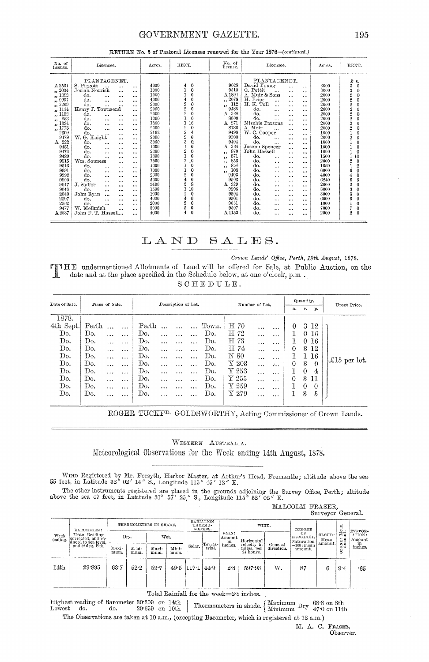# GOVERNMENT GAZETTE.

| No. of<br>license.                                                                                                                                                                                                                                                        | Licensee.                                                                                                                                                                                                                                                                                                                                                                                                                                                                                                                                                                                                                                                                                                                                                                                                                                                                                                                                                                                            | Acres.                                                                                                                                                                                                                       | RENT.                                                                                                                                                                                                                                                                                                                                                                                                                                                                     | No. of<br>license.                                                                                                                                                                                                                                                                                | Licensce.                                                                                                                                                                                                                                                                                                                                                                                                                                                                                                                                                                                                                                                                                                                                                                                                                                                                                                                                                                                                                          | Acres.                                                                                                                                                                                                                       | RENT.                                                                                                                                                                                                                                                                                                                                                                                                                                                                                                                                                      |
|---------------------------------------------------------------------------------------------------------------------------------------------------------------------------------------------------------------------------------------------------------------------------|------------------------------------------------------------------------------------------------------------------------------------------------------------------------------------------------------------------------------------------------------------------------------------------------------------------------------------------------------------------------------------------------------------------------------------------------------------------------------------------------------------------------------------------------------------------------------------------------------------------------------------------------------------------------------------------------------------------------------------------------------------------------------------------------------------------------------------------------------------------------------------------------------------------------------------------------------------------------------------------------------|------------------------------------------------------------------------------------------------------------------------------------------------------------------------------------------------------------------------------|---------------------------------------------------------------------------------------------------------------------------------------------------------------------------------------------------------------------------------------------------------------------------------------------------------------------------------------------------------------------------------------------------------------------------------------------------------------------------|---------------------------------------------------------------------------------------------------------------------------------------------------------------------------------------------------------------------------------------------------------------------------------------------------|------------------------------------------------------------------------------------------------------------------------------------------------------------------------------------------------------------------------------------------------------------------------------------------------------------------------------------------------------------------------------------------------------------------------------------------------------------------------------------------------------------------------------------------------------------------------------------------------------------------------------------------------------------------------------------------------------------------------------------------------------------------------------------------------------------------------------------------------------------------------------------------------------------------------------------------------------------------------------------------------------------------------------------|------------------------------------------------------------------------------------------------------------------------------------------------------------------------------------------------------------------------------|------------------------------------------------------------------------------------------------------------------------------------------------------------------------------------------------------------------------------------------------------------------------------------------------------------------------------------------------------------------------------------------------------------------------------------------------------------------------------------------------------------------------------------------------------------|
| A 2501<br>,, 2084<br>, 1382<br>, 9997<br>2269<br>5.5<br>, 1154<br>,, 1152<br>853<br>$\bullet$<br>,, 1334<br>,, 1775<br>2399<br>9479<br>222<br>А<br>9481<br>9478<br>9480<br>9515<br>9516<br>9991<br>9992<br>9990<br>9047<br>9048<br>2040<br>2397<br>2562<br>9477<br>A 2887 | PLANTAGENET.<br>S. Piggott<br><br>$\ddotsc$<br>Josiah Norrish<br><br><br>do.<br>$\cdots$<br><br><br>do.<br>$\cdots$<br><br><br>do.<br>$\cdots$<br>$\ddotsc$<br><br>Henry J. Townsend<br><br>do.<br>$\cdots$<br><br><br>do.<br><br>$\cdots$<br><br>do.<br>$\cdots$<br>$\cdots$<br><br>do.<br><br><br>$\cdots$<br>do.<br><br>$\cdots$<br>$\cdots$<br>W. G. Knight<br>$\cdots$<br>$\cdots$<br>do.<br>$\ddotsc$<br>$\cdots$<br>$\cdots$<br>do.<br>$\cdots$<br>$\cdots$<br>$\cdots$<br>do.<br>$\ddotsc$<br><br>$\cdots$<br>do.<br>$\cdots$<br><br>$\cdots$<br>Wm. Souness<br>$\cdots$<br>$\ddotsc$<br>do.<br><br>$\cdots$<br><br>do.<br>$\cdots$<br>$\cdots$<br>$\cdots$<br>do.<br><br>$\cdots$<br><br>do.<br><br><br>$\cdots$<br>J. Sadler<br>$\cdots$<br><br>$\cdots$<br>do.<br>$\cdots$<br><br>$\cdots$<br>John Ryan<br><br><br>$\cdots$<br>do.<br>$\ddot{\phantom{a}}$<br><br>$\cdots$<br>do.<br>$\cdots$<br>$\cdots$<br>$\cdots$<br>Mellmish<br>W.<br>$\cdots$<br><br>John F. T. Hassell<br>$\cdots$ | 4000<br>1000<br>1000<br>4000<br>2000<br>2000<br>2000<br>1000<br>1800<br>2000<br>2162<br>2000<br>3000<br>1000<br>2000<br>1000<br>7500<br>1000<br>1000<br>2000<br>4000<br>3400<br>1500<br>1000<br>4000<br>2000<br>5000<br>4000 | $\Omega$<br>4<br>$\Omega$<br>$\theta$<br>$\Omega$<br>4<br>2<br>$\theta$<br>$\overline{2}$<br>0<br>$\overline{2}$<br>$\theta$<br>$\theta$<br>16<br>2<br>$\overline{0}$<br>$\overline{2}$<br>4<br>$\overline{2}$<br>$\theta$<br>3<br>Q<br>0<br>$\overline{2}$<br>$\mathbf 0$<br>$\mathbf 0$<br>7<br>10<br>$\theta$<br>$\Omega$<br>$\overline{2}$<br>$\bf{0}$<br>$\theta$<br>8<br>3<br>Ĺ0<br>0<br>$\Omega$<br>$\frac{4}{2}$<br>$\mathbf 0$<br>5<br>$\bf{0}$<br>$\theta$<br>4 | 9028<br>9510<br>$\Lambda\,1894$<br>,, 2078<br>112<br>$\bullet$<br>9488<br>328<br>А<br>8000<br>271<br>А<br>8188<br>9498<br>9500<br>9494<br>364<br>А<br>870<br>,,<br>871<br>,,<br>856<br>,,<br>854<br>,,<br>108<br>,,<br>9493<br>9503<br>329<br>A<br>9506<br>9504<br>9501<br>9051<br>9507<br>A 1153 | PLANTAGENET.<br>David Young<br>$\cdots$<br><br>G. Pettit<br>$\cdots$<br><br>A. Muir & Sons<br>$\cdots$<br><br>H. Prior<br><br><br>$\cdots$<br>H. K. Toll<br><br>$\cdots$<br>$\cdots$<br>do.<br>$\cdots$<br>$\cdots$<br>$\cdots$<br>do.<br>$\cdots$<br>$\cdots$<br>$\cdots$<br>do.<br>$\cdots$<br>$\cdots$<br>$\cdots$<br>Mischie Parsons<br>$\cdots$<br>$\cdots$<br>A. Moir<br>$\cdots$<br>$\cdots$<br>W. C. Cooper<br><br>$\cdots$<br>do.<br>$\cdots$<br>$\cdots$<br>$\cdots$<br>do.<br>$\cdots$<br>$\cdots$<br>$\cdots$<br>Joseph Spencer<br>$\cdots$<br>$\cdots$<br>John Hassell<br>$\cdots$<br>$\cdots$<br>do.<br>$\cdots$<br><br>$\cdots$<br>do.<br><br><br>$\cdots$<br>do.<br>$\cdots$<br>$\cdots$<br>$\cdots$<br>do.<br>$\cdots$<br>$\cdots$<br><br>do.<br><br>$\cdots$<br>$\cdots$<br>do.<br>$\cdots$<br><br>$\cdots$<br>do.<br><br><br>$\cdots$<br>do.<br><br>$\cdots$<br>$\cdots$<br>do.<br><br><br>$\cdots$<br>do.<br>$\cdots$<br><br><br>do.<br>$\cdots$<br><br><br>do.<br><br><br><br>do.<br><br>$\cdots$<br>$\cdots$ | 3000<br>3000<br>2000<br>2000<br>2000<br>2000<br>2000<br>2000<br>2000<br>2000<br>1000<br>2000<br>1000<br>1000<br>1000<br>1500<br>2000<br>1060<br>6000<br>4000<br>6240<br>2000<br>3000<br>3000<br>6000<br>1000<br>7000<br>2000 | £<br>s.<br>3<br>$\bf{0}$<br>3<br>$\bf{0}$<br>$\overline{2}$<br>$\mathbf 0$<br>$\overline{2}$<br>0<br>2<br>0<br>$\overline{2}$<br>0<br>2<br>$\bf{0}$<br>$\overline{2}$<br>$\theta$<br>$\overline{2}$<br>$\Omega$<br>$\mathbf 0$<br>$\overline{2}$<br>$\theta$<br>2<br>$\boldsymbol{0}$<br>$\theta$<br>$\theta$<br>$\theta$<br>10<br>1<br>$\theta$<br>$^{2}$<br>$\overline{2}$<br>$\bf{0}$<br>6<br>$\theta$<br>6<br>5<br>$\overline{2}$<br>$\theta$<br>3<br>$\Omega$<br>3<br>$\Omega$<br>$\theta$<br>$\theta$<br>7<br>$\theta$<br>$\overline{2}$<br>$\theta$ |

### RETURN No. 5 of Pastoral Licenses renewed for the Year 1878-(continued.)

#### LAND SALES.

#### Crown Lands' Office, Perth, 19th August, 1878.

TINHE undermentioned Allotments of Land will be offered for Sale, at Public Auction, on the date and at the place specified in the Schedule below, at one o'clock, p.m. SCHEDULE.

| Date of Sale. | Place of Sale. |           | Description of Lot. |       |           |          |          | Number of Lot. |                                                 |           | Quantity,        |    |          | Upset Price. |                 |  |
|---------------|----------------|-----------|---------------------|-------|-----------|----------|----------|----------------|-------------------------------------------------|-----------|------------------|----|----------|--------------|-----------------|--|
|               |                |           |                     |       |           |          |          |                |                                                 |           |                  | a, | r.       | p.           |                 |  |
| 1878.         |                |           |                     |       |           |          |          |                |                                                 |           |                  |    |          |              |                 |  |
| 4th Sept.     | Perth          |           | $\ddotsc$           | Perth |           |          |          | Town.          | $E_{70}$                                        | $\cdots$  | $\cdots$         | 0  | 3        | 12           |                 |  |
| Do.           | Do.            | $\ddotsc$ | $\ddotsc$           | Do.   |           |          |          | Do.            | H 72                                            | $\cdots$  | $\cdots$         |    | ⇔        | 16           |                 |  |
| Do.           | Do.            | $\cdots$  | $\ddotsc$           | Do.   | $\cdots$  | $\cdots$ | $\cdots$ | Do.            | H 73                                            |           | $\cdots$         |    | $\theta$ | 16           |                 |  |
| Do.           | Do.            | .         | $\cdots$            | Do.   |           | $\cdots$ |          | Do.            | H 74                                            | $\ddotsc$ | $\cdots$         | 0  | 3        | 12           |                 |  |
| Do.           | Do.            |           |                     | Do.   |           |          |          | Do.            | N 80                                            | $\cdots$  | $\ddotsc$        |    | 1        | 16           |                 |  |
| Do.           | Do.            | $\cdots$  | $\cdots$            | Do.   | $\cdots$  | $\cdots$ |          | Do.            | $\mathbf{Y}$ 203                                | .         | $\ddot{\cdot}$ . | 0  | 3        | $\theta$     | $\&15$ per lot. |  |
| Do.           | Do.            | $\cdots$  | $\ddotsc$           | Do.   | $\cdots$  | $\cdots$ | $\cdots$ | Do.            | $\rm Y$ 253                                     | $\cdots$  | $\cdots$         |    | $\theta$ | 4            |                 |  |
| Do.           | Do.            | $\cdots$  |                     | Do.   | .         |          | .        | Do.            | $\boldsymbol{\mathop{\textup{\textbf{Y}}}}$ 255 | .         |                  | 0  | 3        | דו           |                 |  |
| Do.           | Do.            | $\ddotsc$ | $\cdots$            | Do.   | $\cdots$  | $\cdots$ | $\cdots$ | Do.            | $\rm Y$ 259                                     | .         | .                |    | $\theta$ | 0            |                 |  |
| Do.           | Do.            | .         | $\ddotsc$           | Do.   | $\ddotsc$ | .        |          | Do.            | $\rm{Y}$ 279                                    |           | $\cdots$         |    | 3        | 5            |                 |  |
|               |                |           |                     |       |           |          |          |                |                                                 |           |                  |    |          |              |                 |  |

ROGER TUCKF<sup>D.</sup> GOLDSWORTHY, Acting Commissioner of Crown Lands.

# WESTERN AUSTRALIA. Meteorological Observations for the Week ending 14th August, 1878.

WIND Registered by Mr. Forsyth, Harbor Master, at Arthur's Head, Fremantle; altitude above the sea 55 feet, in Latitude 32° 02' 14" S., Longitude 115° 45' 12" E.

The other instruments registered are placed in the grounds adjoining the Survey Office, Perth; altitude above the sea 47 feet, in Latitude 31°  $57'$  25," S., Longitude 115°  $52'$  02" E.

MALCOLM FRASER,<br>Surveyor General.

| Week<br>ending.  | BAROMETER:<br>Mean Reading<br>corrected, and re-<br>duced to sea level.<br>and 32 deg. Fah. |               |               | THERMOMETERS IN SHADE. |               |              | RADIATION<br>THERMO-<br>METERS. |                       | WIND.                                  |                       | DEGREE                        |                           |                        | EVAPOR-          |
|------------------|---------------------------------------------------------------------------------------------|---------------|---------------|------------------------|---------------|--------------|---------------------------------|-----------------------|----------------------------------------|-----------------------|-------------------------------|---------------------------|------------------------|------------------|
|                  |                                                                                             |               | Dry.          |                        | Wet.          |              |                                 | RAIN:<br>Amount<br>in | Horizontal                             |                       | OF<br>HUMIDITY,<br>Saturation | CLOUD:<br>Mean<br>amount. | : Mean<br>uni.<br>ONE: | ATION:<br>Amount |
|                  |                                                                                             | Maxi-<br>mum. | M ni-<br>mum. | Maxi-<br>mum.          | Mini-<br>mum. | Solar.       | Terres-<br>trial.               | inches.               | velocity in<br>miles, per<br>24 hours. | General<br>direction. | $=100$ : mean<br>amount.      |                           | S                      | in<br>inches.    |
| 14 <sub>th</sub> | 29.895                                                                                      | 63.7          | 52.2          | 59.7                   |               | $49.5$ 117.1 | 44.9                            | 2.8                   | 597.93                                 | w.                    | 87                            | 6                         | 9.4                    | -65              |

Total Rainfall for the week=2.8 inches.

Thermometers in shade.  $\left\{\begin{array}{ll} \text{Maximum } \text{Dry} & 68.8 \text{ on } 8 \text{th} \\ \text{Minimum } \text{Dry} & 47.0 \text{ on } 11 \text{th} \end{array}\right.$ Highest reading of Barometer 30.209 on 14th  $29.659$  on  $10th$ Lowest do. do. The Observations are taken at 10 a.m., (excepting Barometer, which is registered at 12 a.m.)

M. A. C. FRASER, Observer.